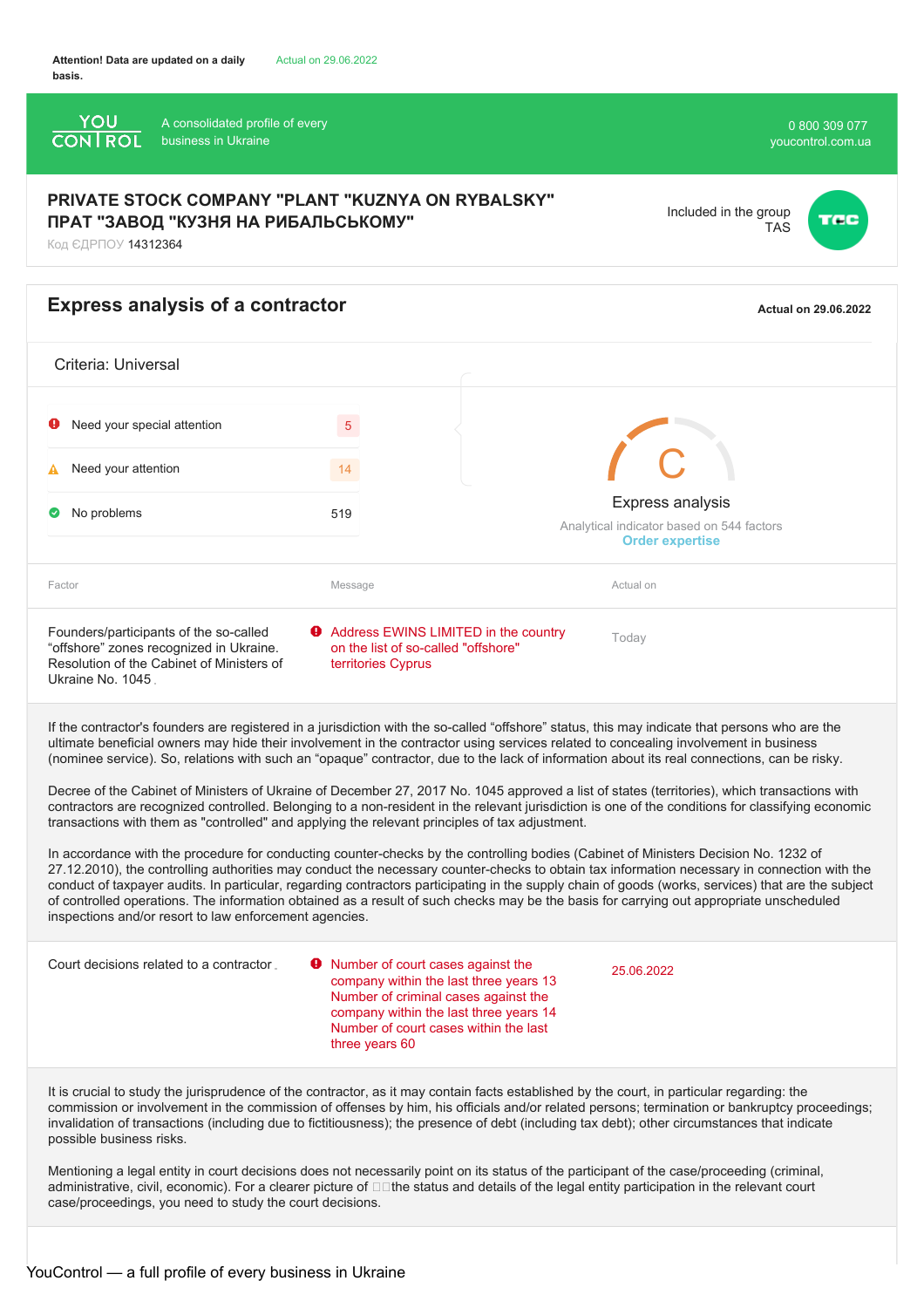

It is crucial to study the jurisprudence of the contractor, as it may contain facts established by the court, in particular regarding: the commission or involvement in the commission of offenses by him, his officials and/or related persons; termination or bankruptcy proceedings; invalidation of transactions (including due to fictitiousness); the presence of debt (including tax debt); other circumstances that indicate possible business risks.

Mentioning a legal entity in court decisions does not necessarily point on its status of the participant of the case/proceeding (criminal, administrative, civil, economic). For a clearer picture of  $\Box$  the status and details of the legal entity participation in the relevant court case/proceedings, you need to study the court decisions.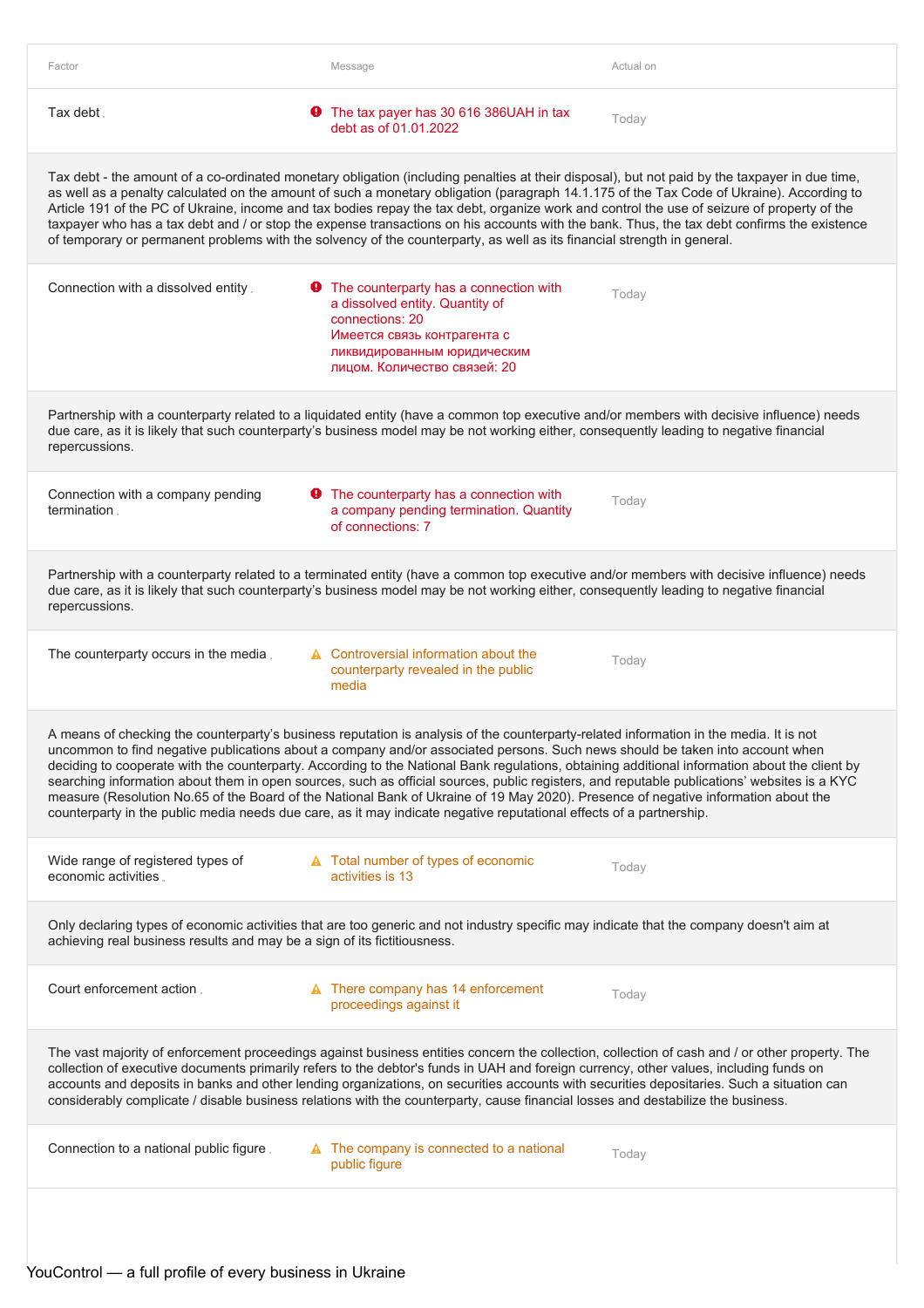| Factor                                                                   | Message                                                                                                                                                                                                                                                                                                                                                                                                                                                                                                                                                                                                                                                                                                                                                                                                                              | Actual on |
|--------------------------------------------------------------------------|--------------------------------------------------------------------------------------------------------------------------------------------------------------------------------------------------------------------------------------------------------------------------------------------------------------------------------------------------------------------------------------------------------------------------------------------------------------------------------------------------------------------------------------------------------------------------------------------------------------------------------------------------------------------------------------------------------------------------------------------------------------------------------------------------------------------------------------|-----------|
| Tax debt.                                                                | The tax payer has 30 616 386UAH in tax<br>O.<br>debt as of 01.01.2022                                                                                                                                                                                                                                                                                                                                                                                                                                                                                                                                                                                                                                                                                                                                                                | Today     |
|                                                                          | Tax debt - the amount of a co-ordinated monetary obligation (including penalties at their disposal), but not paid by the taxpayer in due time,<br>as well as a penalty calculated on the amount of such a monetary obligation (paragraph 14.1.175 of the Tax Code of Ukraine). According to<br>Article 191 of the PC of Ukraine, income and tax bodies repay the tax debt, organize work and control the use of seizure of property of the<br>taxpayer who has a tax debt and / or stop the expense transactions on his accounts with the bank. Thus, the tax debt confirms the existence<br>of temporary or permanent problems with the solvency of the counterparty, as well as its financial strength in general.                                                                                                                 |           |
| Connection with a dissolved entity.                                      | <b>9</b> The counterparty has a connection with<br>a dissolved entity. Quantity of<br>connections: 20<br>Имеется связь контрагента с<br>ликвидированным юридическим<br>лицом. Количество связей: 20                                                                                                                                                                                                                                                                                                                                                                                                                                                                                                                                                                                                                                  | Today     |
| repercussions.                                                           | Partnership with a counterparty related to a liquidated entity (have a common top executive and/or members with decisive influence) needs<br>due care, as it is likely that such counterparty's business model may be not working either, consequently leading to negative financial                                                                                                                                                                                                                                                                                                                                                                                                                                                                                                                                                 |           |
| Connection with a company pending<br>termination.                        | <b>O</b> The counterparty has a connection with<br>a company pending termination. Quantity<br>of connections: 7                                                                                                                                                                                                                                                                                                                                                                                                                                                                                                                                                                                                                                                                                                                      | Today     |
| repercussions.                                                           | Partnership with a counterparty related to a terminated entity (have a common top executive and/or members with decisive influence) needs<br>due care, as it is likely that such counterparty's business model may be not working either, consequently leading to negative financial                                                                                                                                                                                                                                                                                                                                                                                                                                                                                                                                                 |           |
| The counterparty occurs in the media.                                    | A Controversial information about the<br>counterparty revealed in the public<br>media                                                                                                                                                                                                                                                                                                                                                                                                                                                                                                                                                                                                                                                                                                                                                | Today     |
|                                                                          | A means of checking the counterparty's business reputation is analysis of the counterparty-related information in the media. It is not<br>uncommon to find negative publications about a company and/or associated persons. Such news should be taken into account when<br>deciding to cooperate with the counterparty. According to the National Bank regulations, obtaining additional information about the client by<br>searching information about them in open sources, such as official sources, public registers, and reputable publications' websites is a KYC<br>measure (Resolution No.65 of the Board of the National Bank of Ukraine of 19 May 2020). Presence of negative information about the<br>counterparty in the public media needs due care, as it may indicate negative reputational effects of a partnership. |           |
| Wide range of registered types of<br>economic activities.                | A Total number of types of economic<br>activities is 13                                                                                                                                                                                                                                                                                                                                                                                                                                                                                                                                                                                                                                                                                                                                                                              | Today     |
| achieving real business results and may be a sign of its fictitiousness. | Only declaring types of economic activities that are too generic and not industry specific may indicate that the company doesn't aim at                                                                                                                                                                                                                                                                                                                                                                                                                                                                                                                                                                                                                                                                                              |           |
| Court enforcement action.                                                | $\triangle$ There company has 14 enforcement<br>proceedings against it                                                                                                                                                                                                                                                                                                                                                                                                                                                                                                                                                                                                                                                                                                                                                               | Today     |
|                                                                          | The vast majority of enforcement proceedings against business entities concern the collection, collection of cash and / or other property. The<br>collection of executive documents primarily refers to the debtor's funds in UAH and foreign currency, other values, including funds on<br>accounts and deposits in banks and other lending organizations, on securities accounts with securities depositaries. Such a situation can<br>considerably complicate / disable business relations with the counterparty, cause financial losses and destabilize the business.                                                                                                                                                                                                                                                            |           |
| Connection to a national public figure.                                  | $\triangle$ The company is connected to a national<br>public figure                                                                                                                                                                                                                                                                                                                                                                                                                                                                                                                                                                                                                                                                                                                                                                  | Today     |
|                                                                          |                                                                                                                                                                                                                                                                                                                                                                                                                                                                                                                                                                                                                                                                                                                                                                                                                                      |           |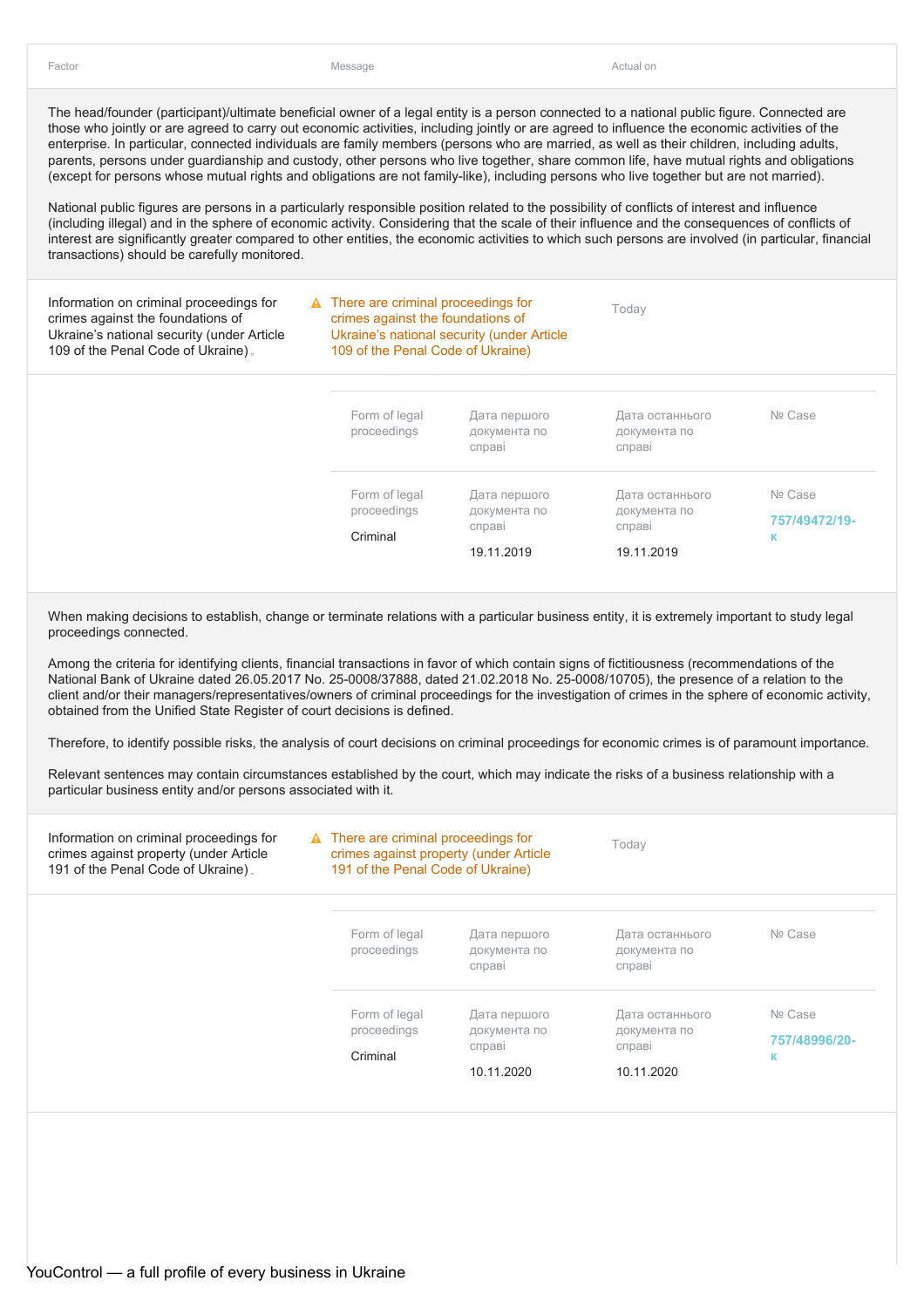Today

The head/founder (participant)/ultimate beneficial owner of a legal entity is a person connected to a national public figure. Connected are those who jointly or are agreed to carry out economic activities, including jointly or are agreed to influence the economic activities of the enterprise. In particular, connected individuals are family members (persons who are married, as well as their children, including adults, parents, persons under guardianship and custody, other persons who live together, share common life, have mutual rights and obligations (except for persons whose mutual rights and obligations are not family-like), including persons who live together but are not married).

National public figures are persons in a particularly responsible position related to the possibility of conflicts of interest and influence (including illegal) and in the sphere of economic activity. Considering that the scale of their influence and the consequences of conflicts of interest are significantly greater compared to other entities, the economic activities to which such persons are involved (in particular, financial transactions) should be carefully monitored.

Information on criminal proceedings for crimes against the foundations of Ukraine's national security (under Article 109 of the Penal Code of Ukraine)

**A** There are criminal proceedings for crimes against the foundations of Ukraine's national security (under Article 109 of the Penal Code of Ukraine)

| Form of legal<br>proceedings | Дата першого<br>документа по<br>справі | Дата останнього<br>документа по<br>справі | Nº Case       |
|------------------------------|----------------------------------------|-------------------------------------------|---------------|
| Form of legal                | Дата першого                           | Дата останнього                           | Nº Case       |
| proceedings                  | документа по<br>справі                 | документа по<br>справі                    | 757/49472/19- |
| Criminal                     |                                        |                                           | к             |
|                              | 19.11.2019                             | 19.11.2019                                |               |

When making decisions to establish, change or terminate relations with a particular business entity, it is extremely important to study legal proceedings connected.

Among the criteria for identifying clients, financial transactions in favor of which contain signs of fictitiousness (recommendations of the National Bank of Ukraine dated 26.05.2017 No. 25-0008/37888, dated 21.02.2018 No. 25-0008/10705), the presence of a relation to the client and/or their managers/representatives/owners of criminal proceedings for the investigation of crimes in the sphere of economic activity, obtained from the Unified State Register of court decisions is defined.

Therefore, to identify possible risks, the analysis of court decisions on criminal proceedings for economic crimes is of paramount importance.

| Information on criminal proceedings for<br>crimes against property (under Article<br>191 of the Penal Code of Ukraine). | $\triangle$ There are criminal proceedings for<br>crimes against property (under Article<br>191 of the Penal Code of Ukraine) |                                                      | Today                                                   |                               |
|-------------------------------------------------------------------------------------------------------------------------|-------------------------------------------------------------------------------------------------------------------------------|------------------------------------------------------|---------------------------------------------------------|-------------------------------|
|                                                                                                                         | Form of legal<br>proceedings                                                                                                  | Дата першого<br>документа по<br>справі               | Дата останнього<br>документа по<br>справі               | Nº Case                       |
|                                                                                                                         | Form of legal<br>proceedings<br>Criminal                                                                                      | Дата першого<br>документа по<br>справі<br>10.11.2020 | Дата останнього<br>документа по<br>справі<br>10.11.2020 | Nº Case<br>757/48996/20-<br>К |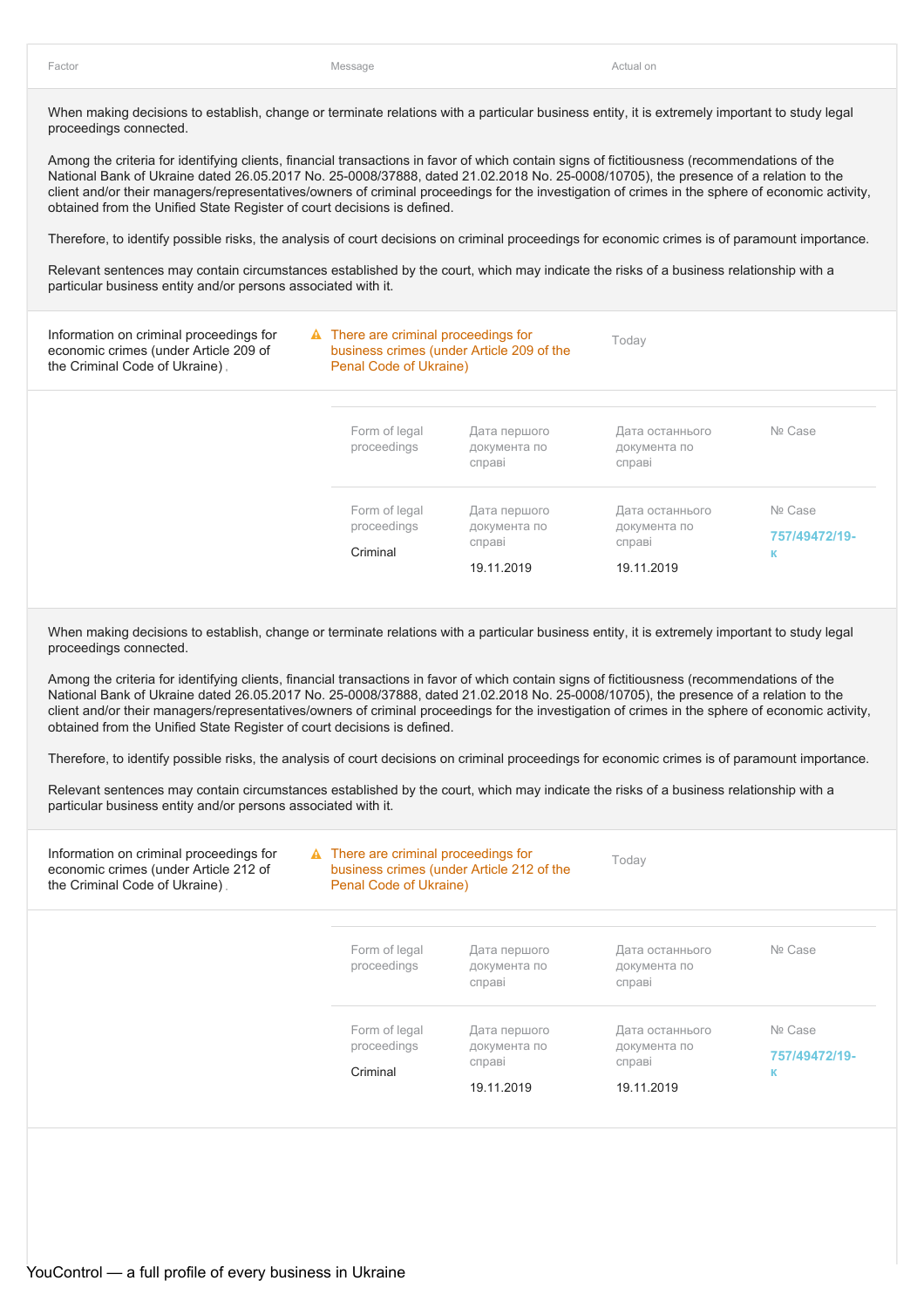Among the criteria for identifying clients, financial transactions in favor of which contain signs of fictitiousness (recommendations of the National Bank of Ukraine dated 26.05.2017 No. 25-0008/37888, dated 21.02.2018 No. 25-0008/10705), the presence of a relation to the client and/or their managers/representatives/owners of criminal proceedings for the investigation of crimes in the sphere of economic activity, obtained from the Unified State Register of court decisions is defined.

Therefore, to identify possible risks, the analysis of court decisions on criminal proceedings for economic crimes is of paramount importance.

Relevant sentences may contain circumstances established by the court, which may indicate the risks of a business relationship with a particular business entity and/or persons associated with it.

| Information on criminal proceedings for<br>economic crimes (under Article 209 of<br>the Criminal Code of Ukraine). |                              | $\triangle$ There are criminal proceedings for<br>business crimes (under Article 209 of the<br>Penal Code of Ukraine) |                                           | Today                    |  |
|--------------------------------------------------------------------------------------------------------------------|------------------------------|-----------------------------------------------------------------------------------------------------------------------|-------------------------------------------|--------------------------|--|
|                                                                                                                    | Form of legal<br>proceedings | Дата першого<br>документа по<br>справі                                                                                | Дата останнього<br>документа по<br>справі | Nº Case                  |  |
|                                                                                                                    | Form of legal<br>proceedings | Дата першого<br>документа по                                                                                          | Дата останнього<br>документа по           | Nº Case<br>757/49472/19- |  |
|                                                                                                                    | Criminal                     | справі<br>19.11.2019                                                                                                  | справі<br>19.11.2019                      | к                        |  |

When making decisions to establish, change or terminate relations with a particular business entity, it is extremely important to study legal proceedings connected.

Among the criteria for identifying clients, financial transactions in favor of which contain signs of fictitiousness (recommendations of the National Bank of Ukraine dated 26.05.2017 No. 25-0008/37888, dated 21.02.2018 No. 25-0008/10705), the presence of a relation to the client and/or their managers/representatives/owners of criminal proceedings for the investigation of crimes in the sphere of economic activity, obtained from the Unified State Register of court decisions is defined.

Therefore, to identify possible risks, the analysis of court decisions on criminal proceedings for economic crimes is of paramount importance.

| Information on criminal proceedings for<br>economic crimes (under Article 212 of<br>the Criminal Code of Ukraine). |                              | $\triangle$ There are criminal proceedings for<br>business crimes (under Article 212 of the<br>Penal Code of Ukraine) |                                           | Today                    |  |  |
|--------------------------------------------------------------------------------------------------------------------|------------------------------|-----------------------------------------------------------------------------------------------------------------------|-------------------------------------------|--------------------------|--|--|
|                                                                                                                    | Form of legal<br>proceedings | Дата першого<br>документа по<br>справі                                                                                | Дата останнього<br>документа по<br>справі | Nº Case                  |  |  |
|                                                                                                                    | Form of legal<br>proceedings | Дата першого<br>документа по<br>справі                                                                                | Дата останнього<br>документа по<br>справі | Nº Case<br>757/49472/19- |  |  |
|                                                                                                                    | Criminal                     | 19.11.2019                                                                                                            | 19.11.2019                                | к                        |  |  |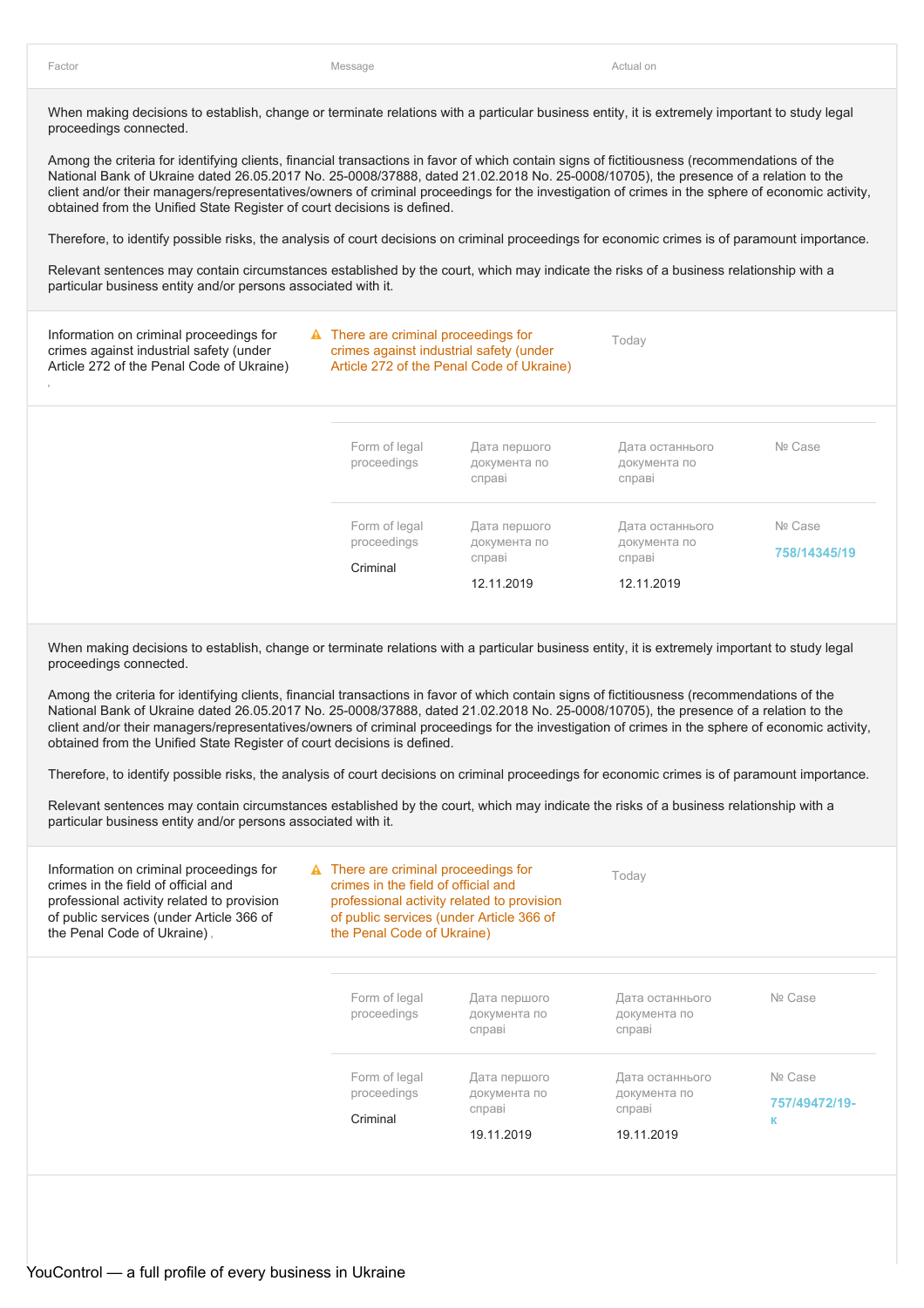Among the criteria for identifying clients, financial transactions in favor of which contain signs of fictitiousness (recommendations of the National Bank of Ukraine dated 26.05.2017 No. 25-0008/37888, dated 21.02.2018 No. 25-0008/10705), the presence of a relation to the client and/or their managers/representatives/owners of criminal proceedings for the investigation of crimes in the sphere of economic activity, obtained from the Unified State Register of court decisions is defined.

Therefore, to identify possible risks, the analysis of court decisions on criminal proceedings for economic crimes is of paramount importance.

Relevant sentences may contain circumstances established by the court, which may indicate the risks of a business relationship with a particular business entity and/or persons associated with it.

| Information on criminal proceedings for<br>crimes against industrial safety (under<br>Article 272 of the Penal Code of Ukraine) | $\triangle$ There are criminal proceedings for<br>crimes against industrial safety (under | Article 272 of the Penal Code of Ukraine)            | Today                                                   |                         |
|---------------------------------------------------------------------------------------------------------------------------------|-------------------------------------------------------------------------------------------|------------------------------------------------------|---------------------------------------------------------|-------------------------|
|                                                                                                                                 | Form of legal<br>proceedings                                                              | Дата першого<br>документа по<br>справі               | Дата останнього<br>документа по<br>справі               | Nº Case                 |
|                                                                                                                                 | Form of legal<br>proceedings<br>Criminal                                                  | Дата першого<br>документа по<br>справі<br>12.11.2019 | Дата останнього<br>документа по<br>справі<br>12.11.2019 | Nº Case<br>758/14345/19 |

When making decisions to establish, change or terminate relations with a particular business entity, it is extremely important to study legal proceedings connected.

Among the criteria for identifying clients, financial transactions in favor of which contain signs of fictitiousness (recommendations of the National Bank of Ukraine dated 26.05.2017 No. 25-0008/37888, dated 21.02.2018 No. 25-0008/10705), the presence of a relation to the client and/or their managers/representatives/owners of criminal proceedings for the investigation of crimes in the sphere of economic activity, obtained from the Unified State Register of court decisions is defined.

Therefore, to identify possible risks, the analysis of court decisions on criminal proceedings for economic crimes is of paramount importance.

| Information on criminal proceedings for<br>crimes in the field of official and<br>professional activity related to provision<br>of public services (under Article 366 of<br>the Penal Code of Ukraine). |                                          | $\triangle$ There are criminal proceedings for<br>crimes in the field of official and<br>professional activity related to provision<br>of public services (under Article 366 of<br>the Penal Code of Ukraine) |                                                         |                               |
|---------------------------------------------------------------------------------------------------------------------------------------------------------------------------------------------------------|------------------------------------------|---------------------------------------------------------------------------------------------------------------------------------------------------------------------------------------------------------------|---------------------------------------------------------|-------------------------------|
|                                                                                                                                                                                                         | Form of legal<br>proceedings             | Дата першого<br>документа по<br>справі                                                                                                                                                                        | Дата останнього<br>документа по<br>справі               | Nº Case                       |
|                                                                                                                                                                                                         | Form of legal<br>proceedings<br>Criminal | Дата першого<br>документа по<br>справі<br>19.11.2019                                                                                                                                                          | Дата останнього<br>документа по<br>справі<br>19.11.2019 | Nº Case<br>757/49472/19-<br>к |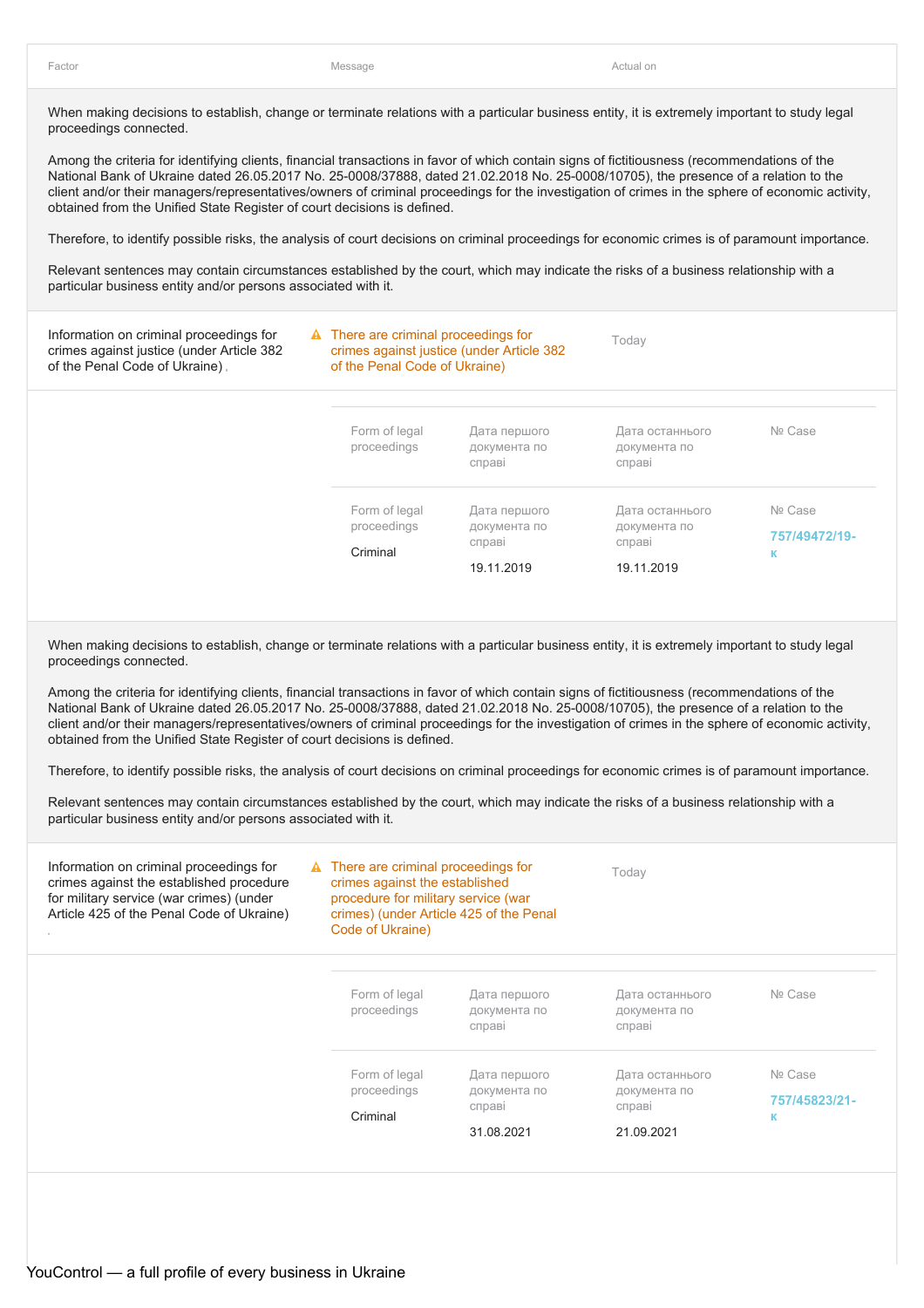Among the criteria for identifying clients, financial transactions in favor of which contain signs of fictitiousness (recommendations of the National Bank of Ukraine dated 26.05.2017 No. 25-0008/37888, dated 21.02.2018 No. 25-0008/10705), the presence of a relation to the client and/or their managers/representatives/owners of criminal proceedings for the investigation of crimes in the sphere of economic activity, obtained from the Unified State Register of court decisions is defined.

Therefore, to identify possible risks, the analysis of court decisions on criminal proceedings for economic crimes is of paramount importance.

Relevant sentences may contain circumstances established by the court, which may indicate the risks of a business relationship with a particular business entity and/or persons associated with it.

| Information on criminal proceedings for<br>crimes against justice (under Article 382<br>of the Penal Code of Ukraine). |                                          | $\triangle$ There are criminal proceedings for<br>crimes against justice (under Article 382<br>of the Penal Code of Ukraine) |                                                         |                               |
|------------------------------------------------------------------------------------------------------------------------|------------------------------------------|------------------------------------------------------------------------------------------------------------------------------|---------------------------------------------------------|-------------------------------|
|                                                                                                                        | Form of legal<br>proceedings             | Дата першого<br>документа по<br>справі                                                                                       | Дата останнього<br>документа по<br>справі               | Nº Case                       |
|                                                                                                                        | Form of legal<br>proceedings<br>Criminal | Дата першого<br>документа по<br>справі<br>19.11.2019                                                                         | Дата останнього<br>документа по<br>справі<br>19.11.2019 | Nº Case<br>757/49472/19-<br>к |

When making decisions to establish, change or terminate relations with a particular business entity, it is extremely important to study legal proceedings connected.

Among the criteria for identifying clients, financial transactions in favor of which contain signs of fictitiousness (recommendations of the National Bank of Ukraine dated 26.05.2017 No. 25-0008/37888, dated 21.02.2018 No. 25-0008/10705), the presence of a relation to the client and/or their managers/representatives/owners of criminal proceedings for the investigation of crimes in the sphere of economic activity, obtained from the Unified State Register of court decisions is defined.

Therefore, to identify possible risks, the analysis of court decisions on criminal proceedings for economic crimes is of paramount importance.

| Information on criminal proceedings for<br>crimes against the established procedure<br>for military service (war crimes) (under<br>Article 425 of the Penal Code of Ukraine) |          | $\triangle$ There are criminal proceedings for<br>crimes against the established<br>procedure for military service (war<br>crimes) (under Article 425 of the Penal<br>Code of Ukraine) |                                        | Today                                     |                               |
|------------------------------------------------------------------------------------------------------------------------------------------------------------------------------|----------|----------------------------------------------------------------------------------------------------------------------------------------------------------------------------------------|----------------------------------------|-------------------------------------------|-------------------------------|
|                                                                                                                                                                              |          | Form of legal<br>proceedings                                                                                                                                                           | Дата першого<br>документа по<br>справі | Дата останнього<br>документа по<br>справі | Nº Case                       |
|                                                                                                                                                                              | Criminal | Form of legal<br>proceedings                                                                                                                                                           | Дата першого<br>документа по<br>справі | Дата останнього<br>документа по<br>справі | Nº Case<br>757/45823/21-<br>к |
|                                                                                                                                                                              |          |                                                                                                                                                                                        | 31.08.2021                             | 21.09.2021                                |                               |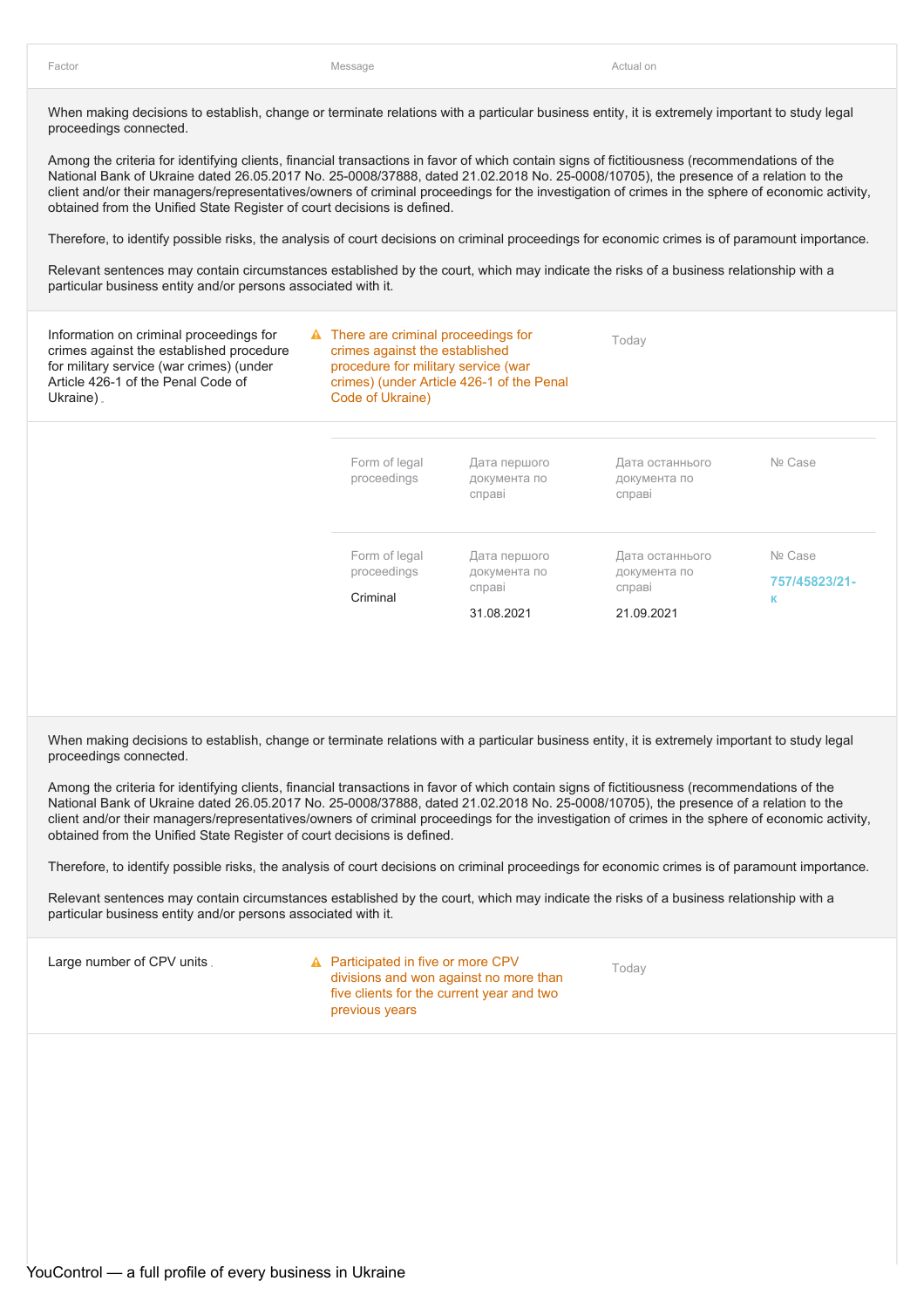Among the criteria for identifying clients, financial transactions in favor of which contain signs of fictitiousness (recommendations of the National Bank of Ukraine dated 26.05.2017 No. 25-0008/37888, dated 21.02.2018 No. 25-0008/10705), the presence of a relation to the client and/or their managers/representatives/owners of criminal proceedings for the investigation of crimes in the sphere of economic activity, obtained from the Unified State Register of court decisions is defined.

Therefore, to identify possible risks, the analysis of court decisions on criminal proceedings for economic crimes is of paramount importance.

Relevant sentences may contain circumstances established by the court, which may indicate the risks of a business relationship with a particular business entity and/or persons associated with it.

| Information on criminal proceedings for<br>crimes against the established procedure<br>for military service (war crimes) (under<br>Article 426-1 of the Penal Code of<br>Ukraine). |          | A There are criminal proceedings for<br>crimes against the established<br>procedure for military service (war<br>crimes) (under Article 426-1 of the Penal<br>Code of Ukraine) |                                                      | Today                                                   |                               |  |
|------------------------------------------------------------------------------------------------------------------------------------------------------------------------------------|----------|--------------------------------------------------------------------------------------------------------------------------------------------------------------------------------|------------------------------------------------------|---------------------------------------------------------|-------------------------------|--|
|                                                                                                                                                                                    |          | Form of legal<br>proceedings                                                                                                                                                   | Дата першого<br>документа по<br>справі               | Дата останнього<br>документа по<br>справі               | Nº Case                       |  |
|                                                                                                                                                                                    | Criminal | Form of legal<br>proceedings                                                                                                                                                   | Дата першого<br>документа по<br>справі<br>31.08.2021 | Дата останнього<br>документа по<br>справі<br>21.09.2021 | Nº Case<br>757/45823/21-<br>к |  |

When making decisions to establish, change or terminate relations with a particular business entity, it is extremely important to study legal proceedings connected.

Among the criteria for identifying clients, financial transactions in favor of which contain signs of fictitiousness (recommendations of the National Bank of Ukraine dated 26.05.2017 No. 25-0008/37888, dated 21.02.2018 No. 25-0008/10705), the presence of a relation to the client and/or their managers/representatives/owners of criminal proceedings for the investigation of crimes in the sphere of economic activity, obtained from the Unified State Register of court decisions is defined.

Therefore, to identify possible risks, the analysis of court decisions on criminal proceedings for economic crimes is of paramount importance.

Relevant sentences may contain circumstances established by the court, which may indicate the risks of a business relationship with a particular business entity and/or persons associated with it.

Large number of CPV units.

**A** Participated in five or more CPV divisions and won against no more than five clients for the current year and two previous years

Today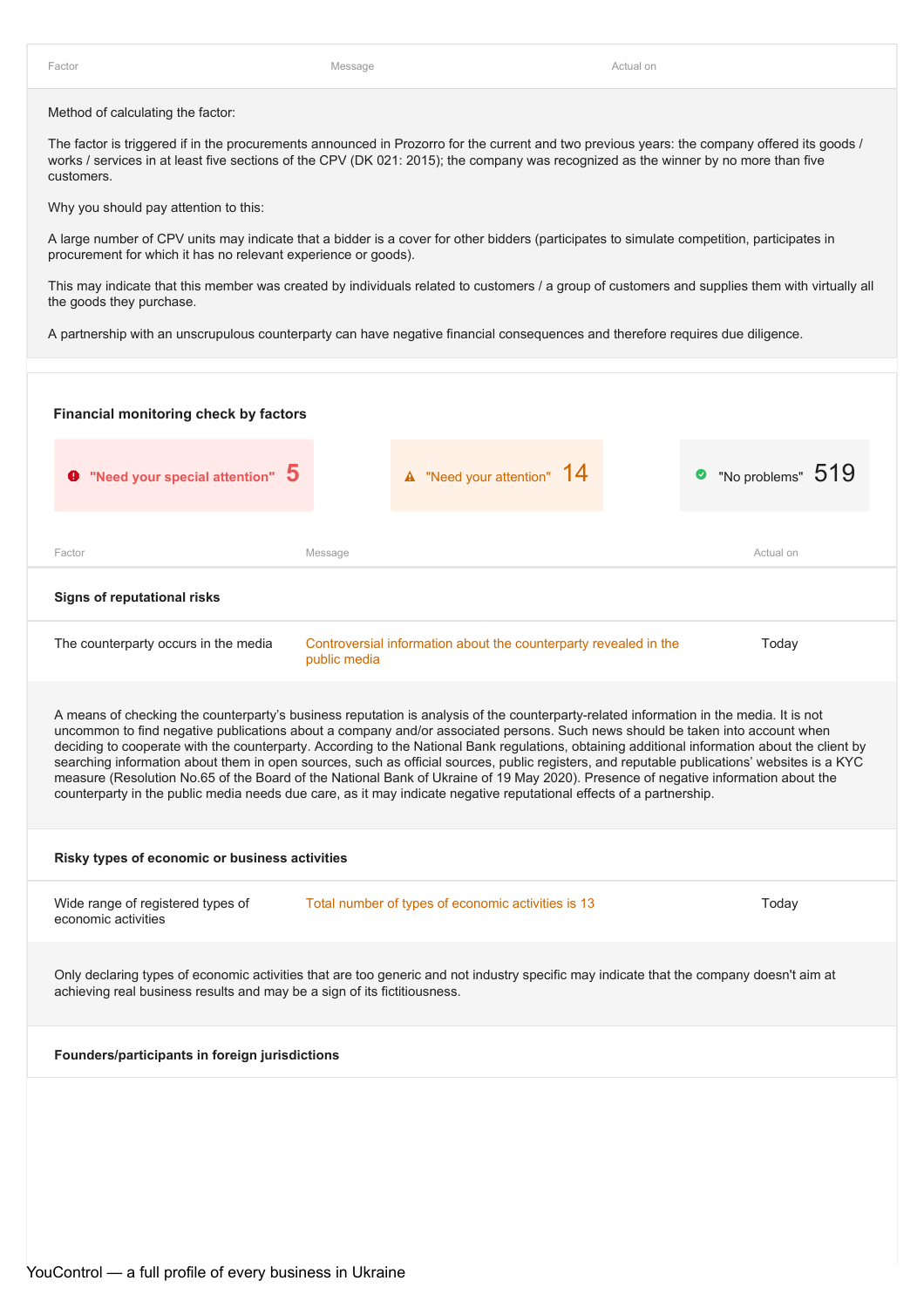Method of calculating the factor:

The factor is triggered if in the procurements announced in Prozorro for the current and two previous years: the company offered its goods / works / services in at least five sections of the CPV (DK 021: 2015); the company was recognized as the winner by no more than five customers.

Why you should pay attention to this:

A large number of CPV units may indicate that a bidder is a cover for other bidders (participates to simulate competition, participates in procurement for which it has no relevant experience or goods).

This may indicate that this member was created by individuals related to customers / a group of customers and supplies them with virtually all the goods they purchase.

A partnership with an unscrupulous counterparty can have negative financial consequences and therefore requires due diligence.

| Financial monitoring check by factors                                    |                                                                                                                                                                                                                                                                                                                                                                                                                                                                                                                                                                                                                                                                                                                                                                                                                                      |                     |
|--------------------------------------------------------------------------|--------------------------------------------------------------------------------------------------------------------------------------------------------------------------------------------------------------------------------------------------------------------------------------------------------------------------------------------------------------------------------------------------------------------------------------------------------------------------------------------------------------------------------------------------------------------------------------------------------------------------------------------------------------------------------------------------------------------------------------------------------------------------------------------------------------------------------------|---------------------|
| $\bullet$ "Need your special attention" $\,5\,$                          | <b>A</b> "Need your attention" 14                                                                                                                                                                                                                                                                                                                                                                                                                                                                                                                                                                                                                                                                                                                                                                                                    | • "No problems" 519 |
| Factor                                                                   | Message                                                                                                                                                                                                                                                                                                                                                                                                                                                                                                                                                                                                                                                                                                                                                                                                                              | Actual on           |
| <b>Signs of reputational risks</b>                                       |                                                                                                                                                                                                                                                                                                                                                                                                                                                                                                                                                                                                                                                                                                                                                                                                                                      |                     |
| The counterparty occurs in the media                                     | Controversial information about the counterparty revealed in the<br>public media                                                                                                                                                                                                                                                                                                                                                                                                                                                                                                                                                                                                                                                                                                                                                     | Today               |
|                                                                          | A means of checking the counterparty's business reputation is analysis of the counterparty-related information in the media. It is not<br>uncommon to find negative publications about a company and/or associated persons. Such news should be taken into account when<br>deciding to cooperate with the counterparty. According to the National Bank regulations, obtaining additional information about the client by<br>searching information about them in open sources, such as official sources, public registers, and reputable publications' websites is a KYC<br>measure (Resolution No.65 of the Board of the National Bank of Ukraine of 19 May 2020). Presence of negative information about the<br>counterparty in the public media needs due care, as it may indicate negative reputational effects of a partnership. |                     |
| Risky types of economic or business activities                           |                                                                                                                                                                                                                                                                                                                                                                                                                                                                                                                                                                                                                                                                                                                                                                                                                                      |                     |
| Wide range of registered types of<br>economic activities                 | Total number of types of economic activities is 13                                                                                                                                                                                                                                                                                                                                                                                                                                                                                                                                                                                                                                                                                                                                                                                   | Today               |
| achieving real business results and may be a sign of its fictitiousness. | Only declaring types of economic activities that are too generic and not industry specific may indicate that the company doesn't aim at                                                                                                                                                                                                                                                                                                                                                                                                                                                                                                                                                                                                                                                                                              |                     |
| Founders/participants in foreign jurisdictions                           |                                                                                                                                                                                                                                                                                                                                                                                                                                                                                                                                                                                                                                                                                                                                                                                                                                      |                     |
|                                                                          |                                                                                                                                                                                                                                                                                                                                                                                                                                                                                                                                                                                                                                                                                                                                                                                                                                      |                     |
|                                                                          |                                                                                                                                                                                                                                                                                                                                                                                                                                                                                                                                                                                                                                                                                                                                                                                                                                      |                     |
|                                                                          |                                                                                                                                                                                                                                                                                                                                                                                                                                                                                                                                                                                                                                                                                                                                                                                                                                      |                     |
|                                                                          |                                                                                                                                                                                                                                                                                                                                                                                                                                                                                                                                                                                                                                                                                                                                                                                                                                      |                     |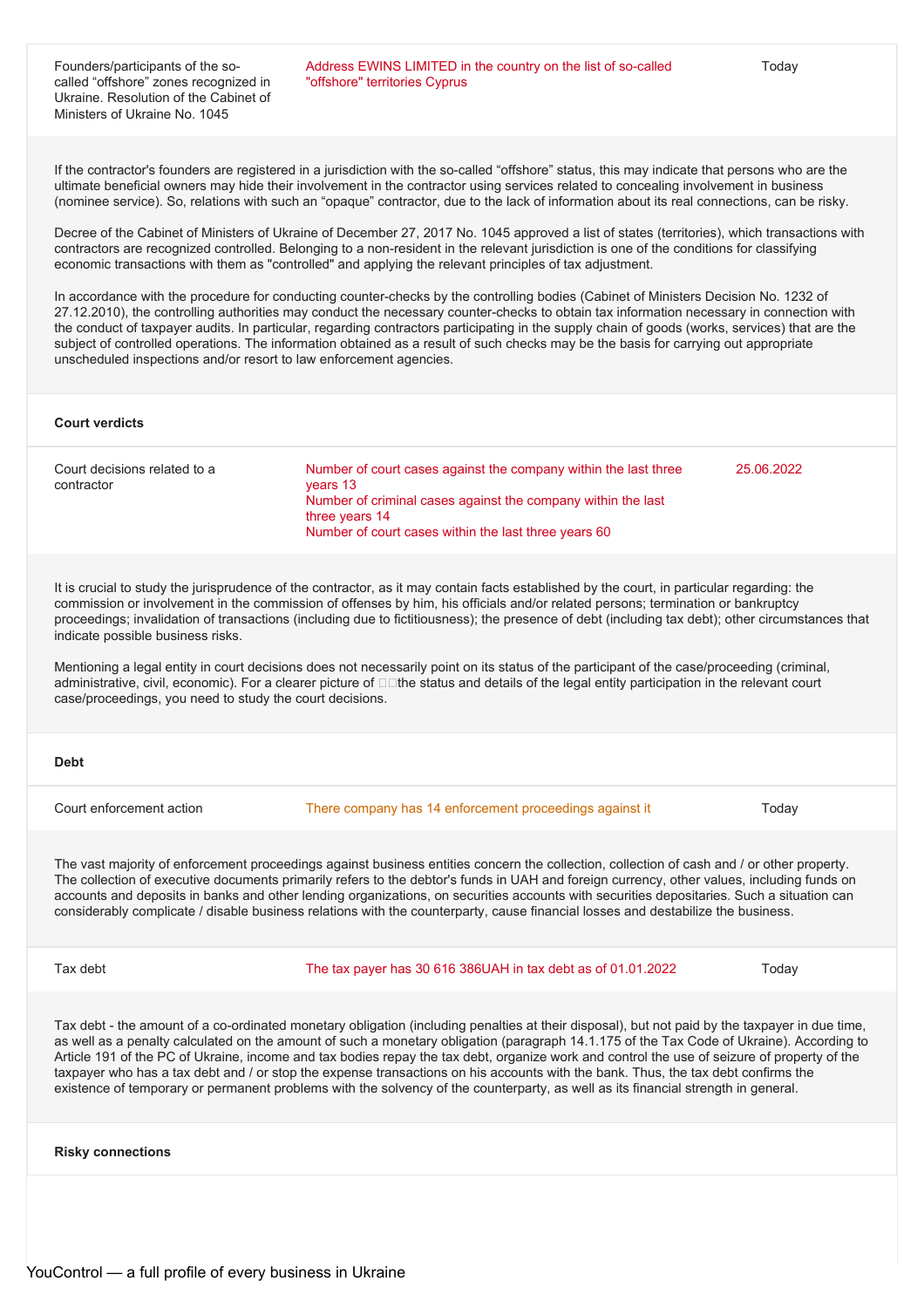If the contractor's founders are registered in a jurisdiction with the so-called "offshore" status, this may indicate that persons who are the ultimate beneficial owners may hide their involvement in the contractor using services related to concealing involvement in business (nominee service). So, relations with such an "opaque" contractor, due to the lack of information about its real connections, can be risky.

Decree of the Cabinet of Ministers of Ukraine of December 27, 2017 No. 1045 approved a list of states (territories), which transactions with contractors are recognized controlled. Belonging to a non-resident in the relevant jurisdiction is one of the conditions for classifying economic transactions with them as "controlled" and applying the relevant principles of tax adjustment.

In accordance with the procedure for conducting counter-checks by the controlling bodies (Cabinet of Ministers Decision No. 1232 of 27.12.2010), the controlling authorities may conduct the necessary counter-checks to obtain tax information necessary in connection with the conduct of taxpayer audits. In particular, regarding contractors participating in the supply chain of goods (works, services) that are the subject of controlled operations. The information obtained as a result of such checks may be the basis for carrying out appropriate unscheduled inspections and/or resort to law enforcement agencies.

#### **Court verdicts**

| Court decisions related to a<br>contractor | Number of court cases against the company within the last three<br>vears 13<br>Number of criminal cases against the company within the last<br>three years 14<br>Number of court cases within the last three years 60 | 25.06.2022 |
|--------------------------------------------|-----------------------------------------------------------------------------------------------------------------------------------------------------------------------------------------------------------------------|------------|
|--------------------------------------------|-----------------------------------------------------------------------------------------------------------------------------------------------------------------------------------------------------------------------|------------|

It is crucial to study the jurisprudence of the contractor, as it may contain facts established by the court, in particular regarding: the commission or involvement in the commission of offenses by him, his officials and/or related persons; termination or bankruptcy proceedings; invalidation of transactions (including due to fictitiousness); the presence of debt (including tax debt); other circumstances that indicate possible business risks.

Mentioning a legal entity in court decisions does not necessarily point on its status of the participant of the case/proceeding (criminal, administrative, civil, economic). For a clearer picture of  $\Box\Box$  the status and details of the legal entity participation in the relevant court case/proceedings, you need to study the court decisions.

#### **Debt**

Court enforcement action There company has 14 enforcement proceedings against it Today

The vast majority of enforcement proceedings against business entities concern the collection, collection of cash and / or other property. The collection of executive documents primarily refers to the debtor's funds in UAH and foreign currency, other values, including funds on accounts and deposits in banks and other lending organizations, on securities accounts with securities depositaries. Such a situation can considerably complicate / disable business relations with the counterparty, cause financial losses and destabilize the business.

Tax debt The tax payer has 30 616 386UAH in tax debt as of 01.01.2022 Today

Tax debt - the amount of a co-ordinated monetary obligation (including penalties at their disposal), but not paid by the taxpayer in due time, as well as a penalty calculated on the amount of such a monetary obligation (paragraph 14.1.175 of the Tax Code of Ukraine). According to Article 191 of the PC of Ukraine, income and tax bodies repay the tax debt, organize work and control the use of seizure of property of the taxpayer who has a tax debt and / or stop the expense transactions on his accounts with the bank. Thus, the tax debt confirms the existence of temporary or permanent problems with the solvency of the counterparty, as well as its financial strength in general.

**Risky connections**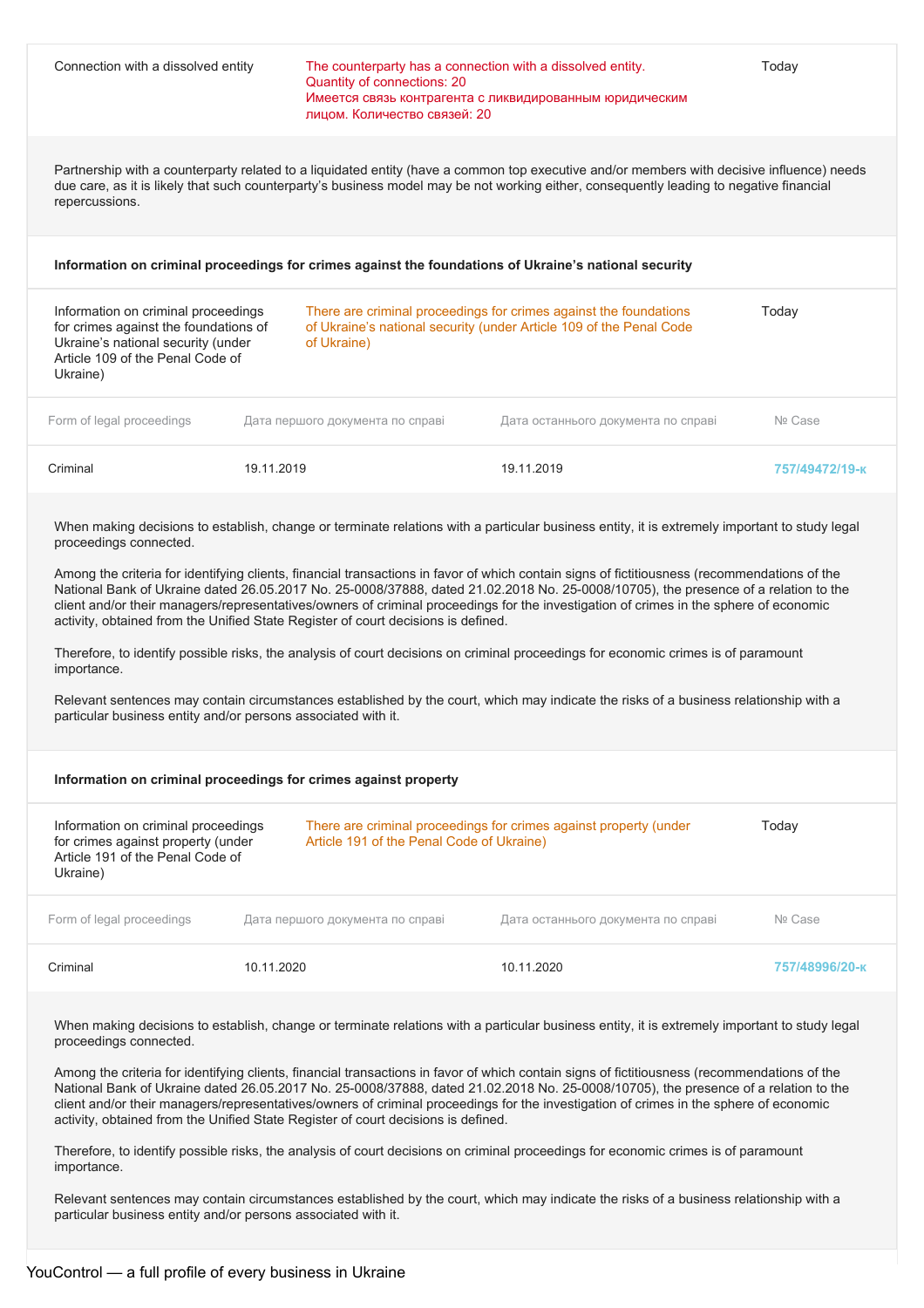| Connection with a dissolved entity                                                                                                                                                                                                                             | The counterparty has a connection with a dissolved entity.<br>Quantity of connections: 20<br>лицом. Количество связей: 20 | Имеется связь контрагента с ликвидированным юридическим                                                                                                                                                                                                                                                                                                                                                                                                                                                                                                                                                                                                                                                                                                                                                                                                      | Today          |
|----------------------------------------------------------------------------------------------------------------------------------------------------------------------------------------------------------------------------------------------------------------|---------------------------------------------------------------------------------------------------------------------------|--------------------------------------------------------------------------------------------------------------------------------------------------------------------------------------------------------------------------------------------------------------------------------------------------------------------------------------------------------------------------------------------------------------------------------------------------------------------------------------------------------------------------------------------------------------------------------------------------------------------------------------------------------------------------------------------------------------------------------------------------------------------------------------------------------------------------------------------------------------|----------------|
| repercussions.                                                                                                                                                                                                                                                 |                                                                                                                           | Partnership with a counterparty related to a liquidated entity (have a common top executive and/or members with decisive influence) needs<br>due care, as it is likely that such counterparty's business model may be not working either, consequently leading to negative financial                                                                                                                                                                                                                                                                                                                                                                                                                                                                                                                                                                         |                |
| Information on criminal proceedings for crimes against the foundations of Ukraine's national security                                                                                                                                                          |                                                                                                                           |                                                                                                                                                                                                                                                                                                                                                                                                                                                                                                                                                                                                                                                                                                                                                                                                                                                              |                |
| Information on criminal proceedings<br>for crimes against the foundations of<br>Ukraine's national security (under<br>Article 109 of the Penal Code of<br>Ukraine)                                                                                             | of Ukraine)                                                                                                               | There are criminal proceedings for crimes against the foundations<br>of Ukraine's national security (under Article 109 of the Penal Code                                                                                                                                                                                                                                                                                                                                                                                                                                                                                                                                                                                                                                                                                                                     | Today          |
| Form of legal proceedings                                                                                                                                                                                                                                      | Дата першого документа по справі                                                                                          | Дата останнього документа по справі                                                                                                                                                                                                                                                                                                                                                                                                                                                                                                                                                                                                                                                                                                                                                                                                                          | Nº Case        |
| Criminal<br>19.11.2019                                                                                                                                                                                                                                         |                                                                                                                           | 19.11.2019                                                                                                                                                                                                                                                                                                                                                                                                                                                                                                                                                                                                                                                                                                                                                                                                                                                   | 757/49472/19-к |
| proceedings connected.<br>activity, obtained from the Unified State Register of court decisions is defined.<br>importance.<br>particular business entity and/or persons associated with it.<br>Information on criminal proceedings for crimes against property |                                                                                                                           | When making decisions to establish, change or terminate relations with a particular business entity, it is extremely important to study legal<br>Among the criteria for identifying clients, financial transactions in favor of which contain signs of fictitiousness (recommendations of the<br>National Bank of Ukraine dated 26.05.2017 No. 25-0008/37888, dated 21.02.2018 No. 25-0008/10705), the presence of a relation to the<br>client and/or their managers/representatives/owners of criminal proceedings for the investigation of crimes in the sphere of economic<br>Therefore, to identify possible risks, the analysis of court decisions on criminal proceedings for economic crimes is of paramount<br>Relevant sentences may contain circumstances established by the court, which may indicate the risks of a business relationship with a |                |
| Information on criminal proceedings                                                                                                                                                                                                                            |                                                                                                                           | There are criminal proceedings for crimes against property (under                                                                                                                                                                                                                                                                                                                                                                                                                                                                                                                                                                                                                                                                                                                                                                                            | Today          |
| for crimes against property (under<br>Article 191 of the Penal Code of<br>Ukraine)                                                                                                                                                                             | Article 191 of the Penal Code of Ukraine)                                                                                 |                                                                                                                                                                                                                                                                                                                                                                                                                                                                                                                                                                                                                                                                                                                                                                                                                                                              |                |
| Form of legal proceedings                                                                                                                                                                                                                                      | Дата першого документа по справі                                                                                          | Дата останнього документа по справі                                                                                                                                                                                                                                                                                                                                                                                                                                                                                                                                                                                                                                                                                                                                                                                                                          | Nº Case        |
| Criminal<br>10.11.2020                                                                                                                                                                                                                                         |                                                                                                                           | 10.11.2020                                                                                                                                                                                                                                                                                                                                                                                                                                                                                                                                                                                                                                                                                                                                                                                                                                                   | 757/48996/20-к |
| proceedings connected.<br>activity, obtained from the Unified State Register of court decisions is defined.                                                                                                                                                    |                                                                                                                           | When making decisions to establish, change or terminate relations with a particular business entity, it is extremely important to study legal<br>Among the criteria for identifying clients, financial transactions in favor of which contain signs of fictitiousness (recommendations of the<br>National Bank of Ukraine dated 26.05.2017 No. 25-0008/37888, dated 21.02.2018 No. 25-0008/10705), the presence of a relation to the<br>client and/or their managers/representatives/owners of criminal proceedings for the investigation of crimes in the sphere of economic                                                                                                                                                                                                                                                                                |                |

Therefore, to identify possible risks, the analysis of court decisions on criminal proceedings for economic crimes is of paramount importance.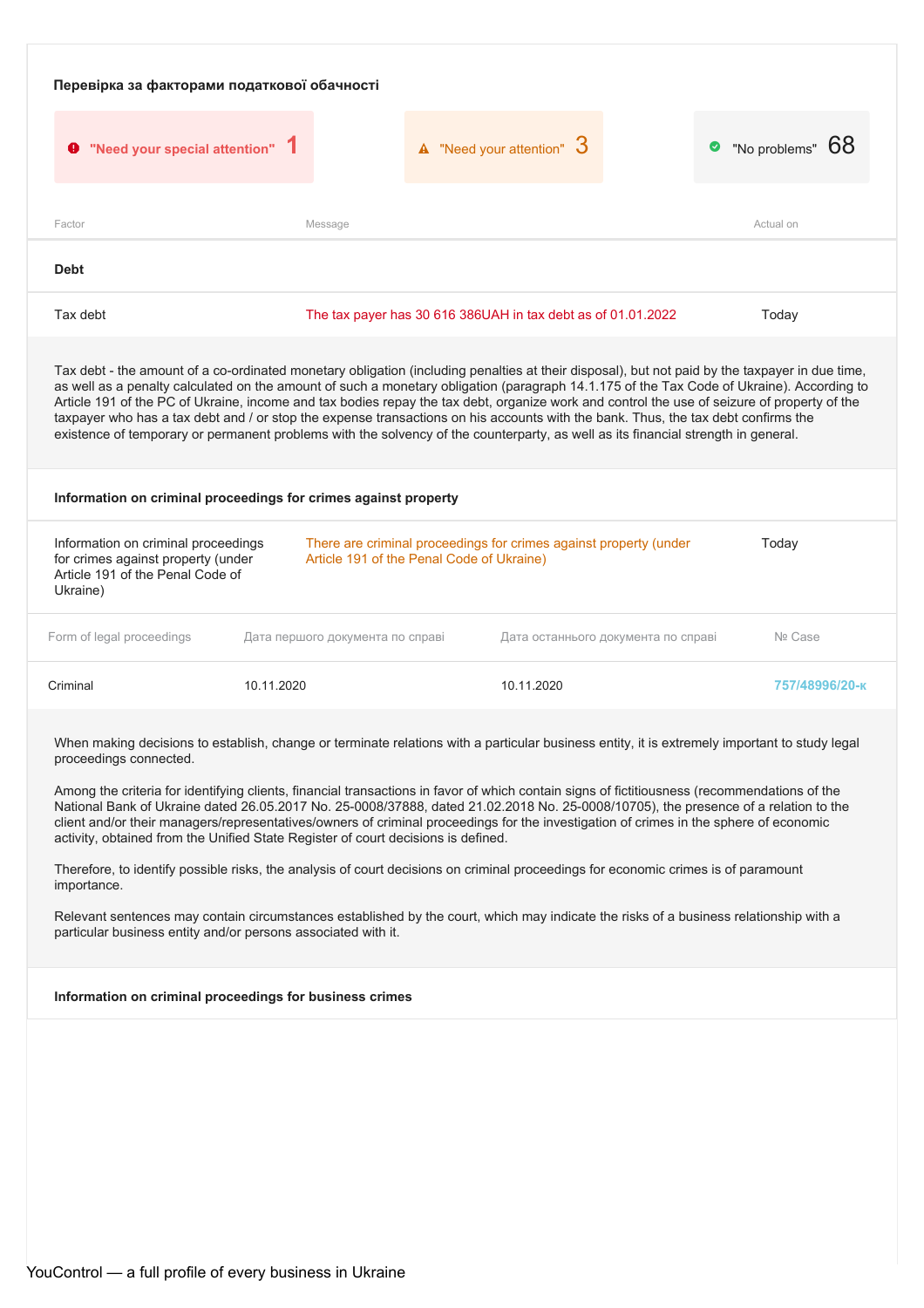| "No problems" 68<br>$\triangle$ "Need your attention" $3$<br><b>9</b> "Need your special attention" 1<br>Actual on<br>Factor<br>Message<br><b>Debt</b><br>Tax debt<br>Today<br>The tax payer has 30 616 386UAH in tax debt as of 01.01.2022<br>Tax debt - the amount of a co-ordinated monetary obligation (including penalties at their disposal), but not paid by the taxpayer in due time,<br>as well as a penalty calculated on the amount of such a monetary obligation (paragraph 14.1.175 of the Tax Code of Ukraine). According to<br>Article 191 of the PC of Ukraine, income and tax bodies repay the tax debt, organize work and control the use of seizure of property of the<br>taxpayer who has a tax debt and / or stop the expense transactions on his accounts with the bank. Thus, the tax debt confirms the<br>existence of temporary or permanent problems with the solvency of the counterparty, as well as its financial strength in general.<br>Information on criminal proceedings for crimes against property<br>Today<br>Information on criminal proceedings<br>There are criminal proceedings for crimes against property (under<br>for crimes against property (under<br>Article 191 of the Penal Code of Ukraine)<br>Article 191 of the Penal Code of<br>Ukraine)<br>Nº Case<br>Дата першого документа по справі<br>Дата останнього документа по справі<br>10.11.2020<br>10.11.2020<br>757/48996/20-к<br>When making decisions to establish, change or terminate relations with a particular business entity, it is extremely important to study legal<br>proceedings connected.<br>Among the criteria for identifying clients, financial transactions in favor of which contain signs of fictitiousness (recommendations of the<br>National Bank of Ukraine dated 26.05.2017 No. 25-0008/37888, dated 21.02.2018 No. 25-0008/10705), the presence of a relation to the<br>client and/or their managers/representatives/owners of criminal proceedings for the investigation of crimes in the sphere of economic<br>activity, obtained from the Unified State Register of court decisions is defined.<br>Therefore, to identify possible risks, the analysis of court decisions on criminal proceedings for economic crimes is of paramount<br>importance.<br>Relevant sentences may contain circumstances established by the court, which may indicate the risks of a business relationship with a<br>particular business entity and/or persons associated with it.<br>Information on criminal proceedings for business crimes | Перевірка за факторами податкової обачності |  |  |  |  |
|--------------------------------------------------------------------------------------------------------------------------------------------------------------------------------------------------------------------------------------------------------------------------------------------------------------------------------------------------------------------------------------------------------------------------------------------------------------------------------------------------------------------------------------------------------------------------------------------------------------------------------------------------------------------------------------------------------------------------------------------------------------------------------------------------------------------------------------------------------------------------------------------------------------------------------------------------------------------------------------------------------------------------------------------------------------------------------------------------------------------------------------------------------------------------------------------------------------------------------------------------------------------------------------------------------------------------------------------------------------------------------------------------------------------------------------------------------------------------------------------------------------------------------------------------------------------------------------------------------------------------------------------------------------------------------------------------------------------------------------------------------------------------------------------------------------------------------------------------------------------------------------------------------------------------------------------------------------------------------------------------------------------------------------------------------------------------------------------------------------------------------------------------------------------------------------------------------------------------------------------------------------------------------------------------------------------------------------------------------------------------------------------------------------------------------------------------------------------------------------------------------------------------------------------------------------|---------------------------------------------|--|--|--|--|
|                                                                                                                                                                                                                                                                                                                                                                                                                                                                                                                                                                                                                                                                                                                                                                                                                                                                                                                                                                                                                                                                                                                                                                                                                                                                                                                                                                                                                                                                                                                                                                                                                                                                                                                                                                                                                                                                                                                                                                                                                                                                                                                                                                                                                                                                                                                                                                                                                                                                                                                                                              |                                             |  |  |  |  |
|                                                                                                                                                                                                                                                                                                                                                                                                                                                                                                                                                                                                                                                                                                                                                                                                                                                                                                                                                                                                                                                                                                                                                                                                                                                                                                                                                                                                                                                                                                                                                                                                                                                                                                                                                                                                                                                                                                                                                                                                                                                                                                                                                                                                                                                                                                                                                                                                                                                                                                                                                              |                                             |  |  |  |  |
|                                                                                                                                                                                                                                                                                                                                                                                                                                                                                                                                                                                                                                                                                                                                                                                                                                                                                                                                                                                                                                                                                                                                                                                                                                                                                                                                                                                                                                                                                                                                                                                                                                                                                                                                                                                                                                                                                                                                                                                                                                                                                                                                                                                                                                                                                                                                                                                                                                                                                                                                                              |                                             |  |  |  |  |
|                                                                                                                                                                                                                                                                                                                                                                                                                                                                                                                                                                                                                                                                                                                                                                                                                                                                                                                                                                                                                                                                                                                                                                                                                                                                                                                                                                                                                                                                                                                                                                                                                                                                                                                                                                                                                                                                                                                                                                                                                                                                                                                                                                                                                                                                                                                                                                                                                                                                                                                                                              |                                             |  |  |  |  |
|                                                                                                                                                                                                                                                                                                                                                                                                                                                                                                                                                                                                                                                                                                                                                                                                                                                                                                                                                                                                                                                                                                                                                                                                                                                                                                                                                                                                                                                                                                                                                                                                                                                                                                                                                                                                                                                                                                                                                                                                                                                                                                                                                                                                                                                                                                                                                                                                                                                                                                                                                              |                                             |  |  |  |  |
|                                                                                                                                                                                                                                                                                                                                                                                                                                                                                                                                                                                                                                                                                                                                                                                                                                                                                                                                                                                                                                                                                                                                                                                                                                                                                                                                                                                                                                                                                                                                                                                                                                                                                                                                                                                                                                                                                                                                                                                                                                                                                                                                                                                                                                                                                                                                                                                                                                                                                                                                                              |                                             |  |  |  |  |
|                                                                                                                                                                                                                                                                                                                                                                                                                                                                                                                                                                                                                                                                                                                                                                                                                                                                                                                                                                                                                                                                                                                                                                                                                                                                                                                                                                                                                                                                                                                                                                                                                                                                                                                                                                                                                                                                                                                                                                                                                                                                                                                                                                                                                                                                                                                                                                                                                                                                                                                                                              |                                             |  |  |  |  |
|                                                                                                                                                                                                                                                                                                                                                                                                                                                                                                                                                                                                                                                                                                                                                                                                                                                                                                                                                                                                                                                                                                                                                                                                                                                                                                                                                                                                                                                                                                                                                                                                                                                                                                                                                                                                                                                                                                                                                                                                                                                                                                                                                                                                                                                                                                                                                                                                                                                                                                                                                              | Form of legal proceedings                   |  |  |  |  |
|                                                                                                                                                                                                                                                                                                                                                                                                                                                                                                                                                                                                                                                                                                                                                                                                                                                                                                                                                                                                                                                                                                                                                                                                                                                                                                                                                                                                                                                                                                                                                                                                                                                                                                                                                                                                                                                                                                                                                                                                                                                                                                                                                                                                                                                                                                                                                                                                                                                                                                                                                              | Criminal                                    |  |  |  |  |
|                                                                                                                                                                                                                                                                                                                                                                                                                                                                                                                                                                                                                                                                                                                                                                                                                                                                                                                                                                                                                                                                                                                                                                                                                                                                                                                                                                                                                                                                                                                                                                                                                                                                                                                                                                                                                                                                                                                                                                                                                                                                                                                                                                                                                                                                                                                                                                                                                                                                                                                                                              |                                             |  |  |  |  |
|                                                                                                                                                                                                                                                                                                                                                                                                                                                                                                                                                                                                                                                                                                                                                                                                                                                                                                                                                                                                                                                                                                                                                                                                                                                                                                                                                                                                                                                                                                                                                                                                                                                                                                                                                                                                                                                                                                                                                                                                                                                                                                                                                                                                                                                                                                                                                                                                                                                                                                                                                              |                                             |  |  |  |  |
|                                                                                                                                                                                                                                                                                                                                                                                                                                                                                                                                                                                                                                                                                                                                                                                                                                                                                                                                                                                                                                                                                                                                                                                                                                                                                                                                                                                                                                                                                                                                                                                                                                                                                                                                                                                                                                                                                                                                                                                                                                                                                                                                                                                                                                                                                                                                                                                                                                                                                                                                                              |                                             |  |  |  |  |
|                                                                                                                                                                                                                                                                                                                                                                                                                                                                                                                                                                                                                                                                                                                                                                                                                                                                                                                                                                                                                                                                                                                                                                                                                                                                                                                                                                                                                                                                                                                                                                                                                                                                                                                                                                                                                                                                                                                                                                                                                                                                                                                                                                                                                                                                                                                                                                                                                                                                                                                                                              |                                             |  |  |  |  |
|                                                                                                                                                                                                                                                                                                                                                                                                                                                                                                                                                                                                                                                                                                                                                                                                                                                                                                                                                                                                                                                                                                                                                                                                                                                                                                                                                                                                                                                                                                                                                                                                                                                                                                                                                                                                                                                                                                                                                                                                                                                                                                                                                                                                                                                                                                                                                                                                                                                                                                                                                              |                                             |  |  |  |  |
|                                                                                                                                                                                                                                                                                                                                                                                                                                                                                                                                                                                                                                                                                                                                                                                                                                                                                                                                                                                                                                                                                                                                                                                                                                                                                                                                                                                                                                                                                                                                                                                                                                                                                                                                                                                                                                                                                                                                                                                                                                                                                                                                                                                                                                                                                                                                                                                                                                                                                                                                                              |                                             |  |  |  |  |
|                                                                                                                                                                                                                                                                                                                                                                                                                                                                                                                                                                                                                                                                                                                                                                                                                                                                                                                                                                                                                                                                                                                                                                                                                                                                                                                                                                                                                                                                                                                                                                                                                                                                                                                                                                                                                                                                                                                                                                                                                                                                                                                                                                                                                                                                                                                                                                                                                                                                                                                                                              |                                             |  |  |  |  |
|                                                                                                                                                                                                                                                                                                                                                                                                                                                                                                                                                                                                                                                                                                                                                                                                                                                                                                                                                                                                                                                                                                                                                                                                                                                                                                                                                                                                                                                                                                                                                                                                                                                                                                                                                                                                                                                                                                                                                                                                                                                                                                                                                                                                                                                                                                                                                                                                                                                                                                                                                              |                                             |  |  |  |  |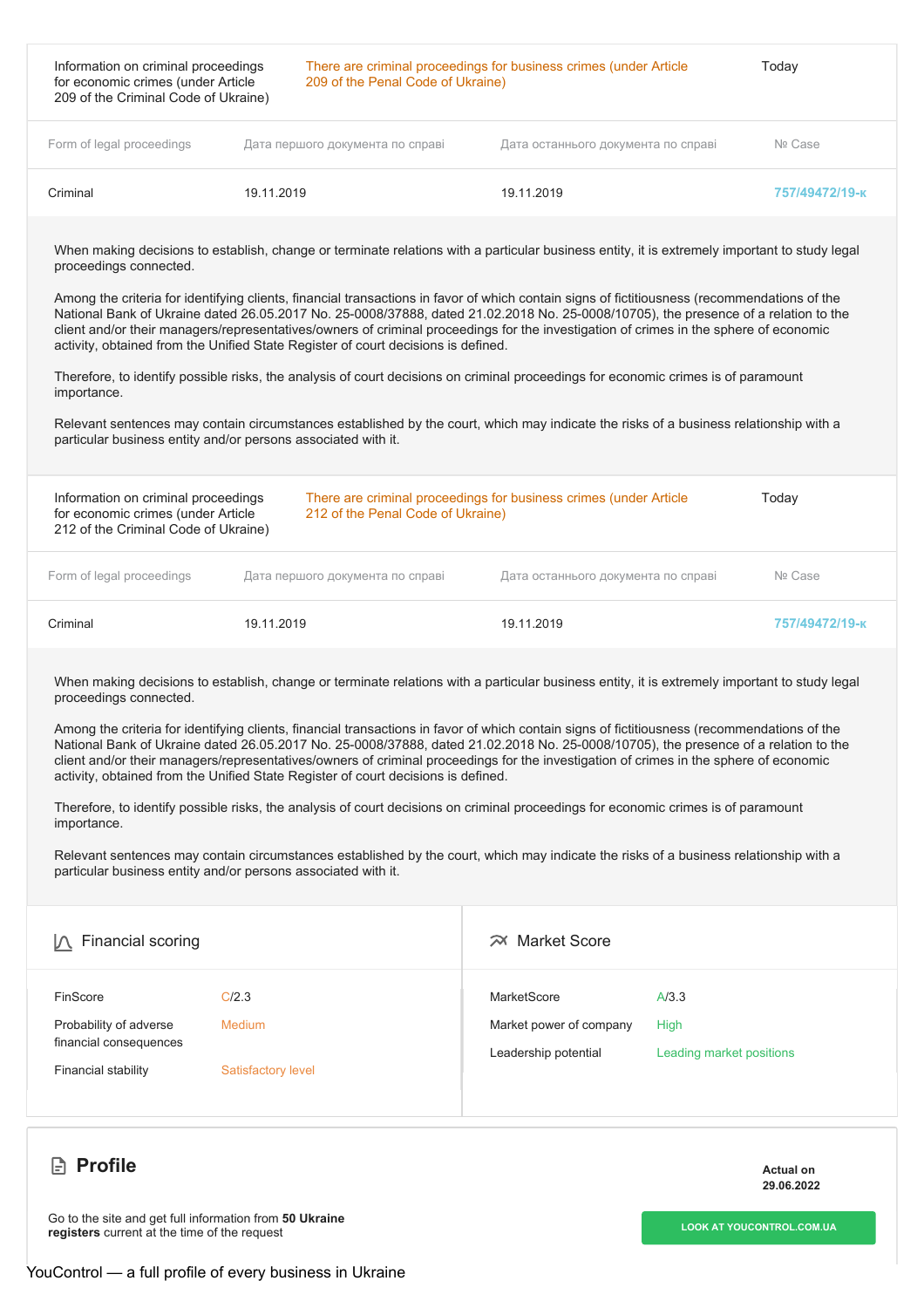| Information on criminal proceedings<br>for economic crimes (under Article<br>209 of the Criminal Code of Ukraine) |                                  | There are criminal proceedings for business crimes (under Article<br>209 of the Penal Code of Ukraine) |                |
|-------------------------------------------------------------------------------------------------------------------|----------------------------------|--------------------------------------------------------------------------------------------------------|----------------|
| Form of legal proceedings                                                                                         | Дата першого документа по справі | Дата останнього документа по справі                                                                    | Nº Case        |
| Criminal                                                                                                          | 19.11.2019                       | 19.11.2019                                                                                             | 757/49472/19-к |

Among the criteria for identifying clients, financial transactions in favor of which contain signs of fictitiousness (recommendations of the National Bank of Ukraine dated 26.05.2017 No. 25-0008/37888, dated 21.02.2018 No. 25-0008/10705), the presence of a relation to the client and/or their managers/representatives/owners of criminal proceedings for the investigation of crimes in the sphere of economic activity, obtained from the Unified State Register of court decisions is defined.

Therefore, to identify possible risks, the analysis of court decisions on criminal proceedings for economic crimes is of paramount importance.

Relevant sentences may contain circumstances established by the court, which may indicate the risks of a business relationship with a particular business entity and/or persons associated with it.

| Information on criminal proceedings<br>for economic crimes (under Article<br>212 of the Criminal Code of Ukraine) |            | There are criminal proceedings for business crimes (under Article<br>212 of the Penal Code of Ukraine) |                                     | Today          |
|-------------------------------------------------------------------------------------------------------------------|------------|--------------------------------------------------------------------------------------------------------|-------------------------------------|----------------|
| Form of legal proceedings                                                                                         |            | Дата першого документа по справі                                                                       | Дата останнього документа по справі | Nº Case        |
| Criminal                                                                                                          | 19.11.2019 |                                                                                                        | 19.11.2019                          | 757/49472/19-к |

When making decisions to establish, change or terminate relations with a particular business entity, it is extremely important to study legal proceedings connected.

Among the criteria for identifying clients, financial transactions in favor of which contain signs of fictitiousness (recommendations of the National Bank of Ukraine dated 26.05.2017 No. 25-0008/37888, dated 21.02.2018 No. 25-0008/10705), the presence of a relation to the client and/or their managers/representatives/owners of criminal proceedings for the investigation of crimes in the sphere of economic activity, obtained from the Unified State Register of court decisions is defined.

Therefore, to identify possible risks, the analysis of court decisions on criminal proceedings for economic crimes is of paramount importance.

Relevant sentences may contain circumstances established by the court, which may indicate the risks of a business relationship with a particular business entity and/or persons associated with it.

| Financial scoring                                                                   |                                              | $\approx$ Market Score                                         |                                           |
|-------------------------------------------------------------------------------------|----------------------------------------------|----------------------------------------------------------------|-------------------------------------------|
| FinScore<br>Probability of adverse<br>financial consequences<br>Financial stability | C/2.3<br>Medium<br><b>Satisfactory level</b> | MarketScore<br>Market power of company<br>Leadership potential | A/3.3<br>High<br>Leading market positions |

### **Profile** Actual on Actual on Actual on Actual on Actual on Actual on Actual on Actual on Actual on Actual on Actual on Actual on Actual on Actual on Actual on Actual on Actual on Actual on Actual on Actual on Actual on Ac

**29.06.2022**

**LOOK** AT [YOUCONTROL.COM.UA](https://youcontrol.com.ua/en/contractor/?id=8266672)<br> **LOOK** AT YOUCONTROL.COM.UA **registers** current at the time of the request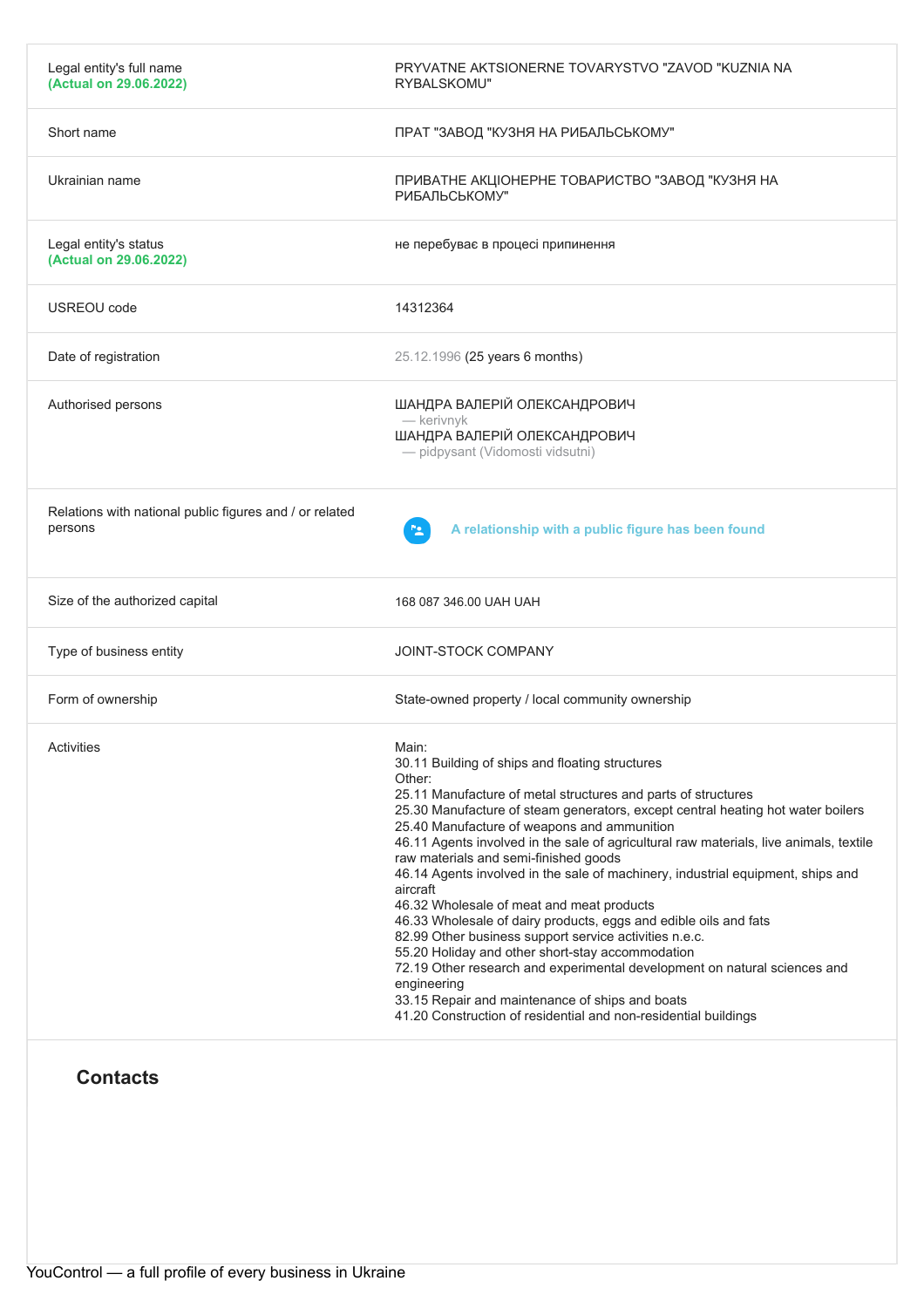| Legal entity's full name<br>(Actual on 29.06.2022)                 | PRYVATNE AKTSIONERNE TOVARYSTVO "ZAVOD "KUZNIA NA<br>RYBALSKOMU"                                                                                                                                                                                                                                                                                                                                                                                                                                                                                                                                                                                                                                                                                                                                                                                                                                                                                         |
|--------------------------------------------------------------------|----------------------------------------------------------------------------------------------------------------------------------------------------------------------------------------------------------------------------------------------------------------------------------------------------------------------------------------------------------------------------------------------------------------------------------------------------------------------------------------------------------------------------------------------------------------------------------------------------------------------------------------------------------------------------------------------------------------------------------------------------------------------------------------------------------------------------------------------------------------------------------------------------------------------------------------------------------|
| Short name                                                         | ПРАТ "ЗАВОД "КУЗНЯ НА РИБАЛЬСЬКОМУ"                                                                                                                                                                                                                                                                                                                                                                                                                                                                                                                                                                                                                                                                                                                                                                                                                                                                                                                      |
| Ukrainian name                                                     | ПРИВАТНЕ АКЦІОНЕРНЕ ТОВАРИСТВО "ЗАВОД "КУЗНЯ НА<br>РИБАЛЬСЬКОМУ"                                                                                                                                                                                                                                                                                                                                                                                                                                                                                                                                                                                                                                                                                                                                                                                                                                                                                         |
| Legal entity's status<br>(Actual on 29.06.2022)                    | не перебуває в процесі припинення                                                                                                                                                                                                                                                                                                                                                                                                                                                                                                                                                                                                                                                                                                                                                                                                                                                                                                                        |
| USREOU code                                                        | 14312364                                                                                                                                                                                                                                                                                                                                                                                                                                                                                                                                                                                                                                                                                                                                                                                                                                                                                                                                                 |
| Date of registration                                               | 25.12.1996 (25 years 6 months)                                                                                                                                                                                                                                                                                                                                                                                                                                                                                                                                                                                                                                                                                                                                                                                                                                                                                                                           |
| Authorised persons                                                 | ШАНДРА ВАЛЕРІЙ ОЛЕКСАНДРОВИЧ<br>- kerivnyk<br>ШАНДРА ВАЛЕРІЙ ОЛЕКСАНДРОВИЧ<br>- pidpysant (Vidomosti vidsutni)                                                                                                                                                                                                                                                                                                                                                                                                                                                                                                                                                                                                                                                                                                                                                                                                                                           |
| Relations with national public figures and / or related<br>persons | A relationship with a public figure has been found                                                                                                                                                                                                                                                                                                                                                                                                                                                                                                                                                                                                                                                                                                                                                                                                                                                                                                       |
| Size of the authorized capital                                     | 168 087 346.00 UAH UAH                                                                                                                                                                                                                                                                                                                                                                                                                                                                                                                                                                                                                                                                                                                                                                                                                                                                                                                                   |
| Type of business entity                                            | JOINT-STOCK COMPANY                                                                                                                                                                                                                                                                                                                                                                                                                                                                                                                                                                                                                                                                                                                                                                                                                                                                                                                                      |
| Form of ownership                                                  | State-owned property / local community ownership                                                                                                                                                                                                                                                                                                                                                                                                                                                                                                                                                                                                                                                                                                                                                                                                                                                                                                         |
| <b>Activities</b>                                                  | Main:<br>30.11 Building of ships and floating structures<br>Other:<br>25.11 Manufacture of metal structures and parts of structures<br>25.30 Manufacture of steam generators, except central heating hot water boilers<br>25.40 Manufacture of weapons and ammunition<br>46.11 Agents involved in the sale of agricultural raw materials, live animals, textile<br>raw materials and semi-finished goods<br>46.14 Agents involved in the sale of machinery, industrial equipment, ships and<br>aircraft<br>46.32 Wholesale of meat and meat products<br>46.33 Wholesale of dairy products, eggs and edible oils and fats<br>82.99 Other business support service activities n.e.c.<br>55.20 Holiday and other short-stay accommodation<br>72.19 Other research and experimental development on natural sciences and<br>engineering<br>33.15 Repair and maintenance of ships and boats<br>41.20 Construction of residential and non-residential buildings |
| <b>Contacts</b>                                                    |                                                                                                                                                                                                                                                                                                                                                                                                                                                                                                                                                                                                                                                                                                                                                                                                                                                                                                                                                          |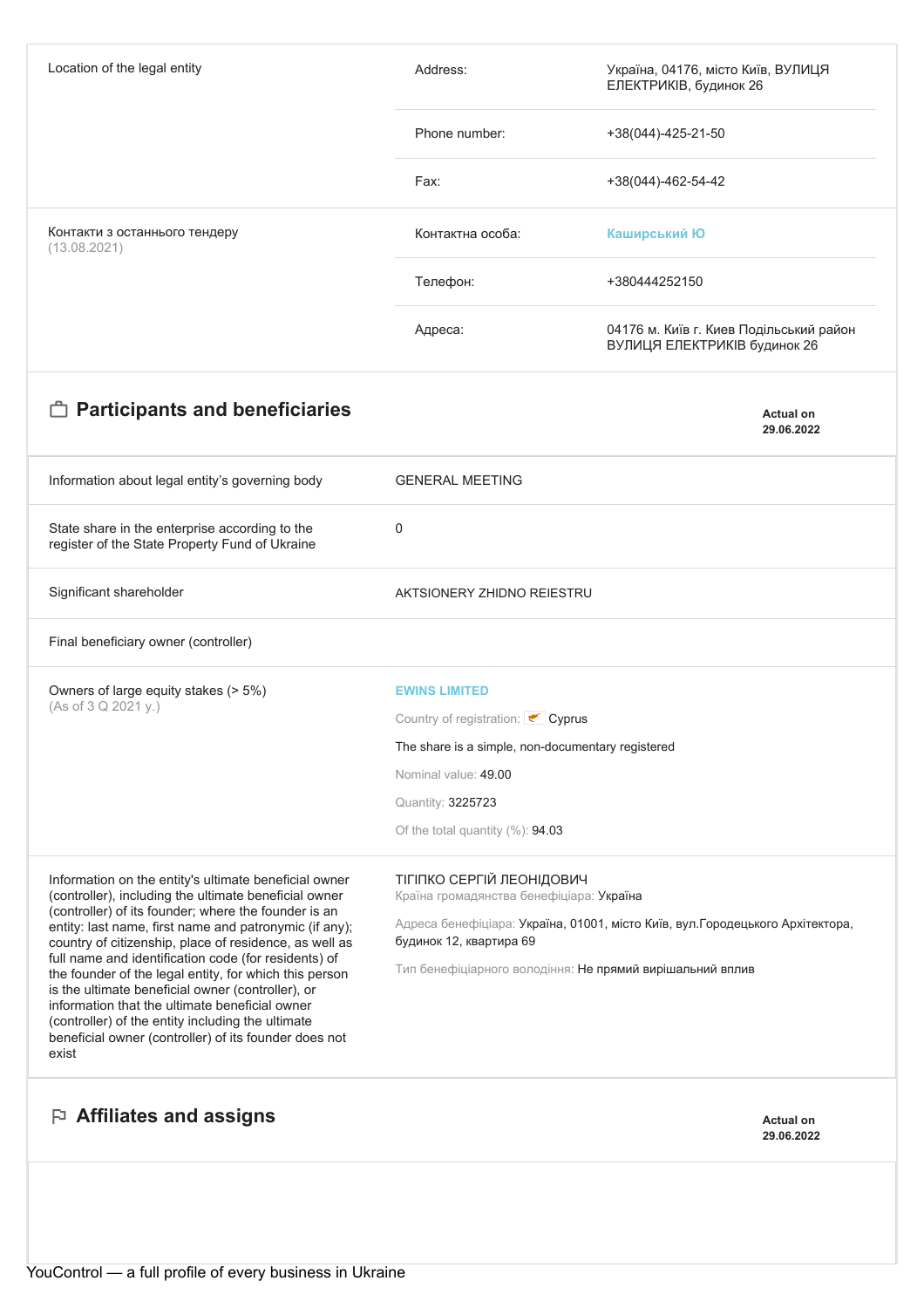| Location of the legal entity                                                                                                                                                                                                                                                                                                                 | Address:                                                                                                  | Україна, 04176, місто Київ, ВУЛИЦЯ<br>ЕЛЕКТРИКІВ, будинок 26            |  |
|----------------------------------------------------------------------------------------------------------------------------------------------------------------------------------------------------------------------------------------------------------------------------------------------------------------------------------------------|-----------------------------------------------------------------------------------------------------------|-------------------------------------------------------------------------|--|
|                                                                                                                                                                                                                                                                                                                                              | Phone number:                                                                                             | +38(044)-425-21-50                                                      |  |
|                                                                                                                                                                                                                                                                                                                                              | Fax:                                                                                                      | +38(044)-462-54-42                                                      |  |
| Контакти з останнього тендеру<br>(13.08.2021)                                                                                                                                                                                                                                                                                                | Контактна особа:                                                                                          | Каширський Ю                                                            |  |
|                                                                                                                                                                                                                                                                                                                                              | Телефон:                                                                                                  | +380444252150                                                           |  |
|                                                                                                                                                                                                                                                                                                                                              | Адреса:                                                                                                   | 04176 м. Київ г. Киев Подільський район<br>ВУЛИЦЯ ЕЛЕКТРИКІВ будинок 26 |  |
| <b>Participants and beneficiaries</b>                                                                                                                                                                                                                                                                                                        |                                                                                                           | <b>Actual on</b><br>29.06.2022                                          |  |
| Information about legal entity's governing body                                                                                                                                                                                                                                                                                              | <b>GENERAL MEETING</b>                                                                                    |                                                                         |  |
| State share in the enterprise according to the<br>register of the State Property Fund of Ukraine                                                                                                                                                                                                                                             | 0                                                                                                         |                                                                         |  |
| Significant shareholder                                                                                                                                                                                                                                                                                                                      | AKTSIONERY ZHIDNO REIESTRU                                                                                |                                                                         |  |
| Final beneficiary owner (controller)                                                                                                                                                                                                                                                                                                         |                                                                                                           |                                                                         |  |
| Owners of large equity stakes (> 5%)<br>(As of 3 Q 2021 y.)                                                                                                                                                                                                                                                                                  | <b>EWINS LIMITED</b>                                                                                      |                                                                         |  |
|                                                                                                                                                                                                                                                                                                                                              | Country of registration: Cyprus                                                                           |                                                                         |  |
|                                                                                                                                                                                                                                                                                                                                              | The share is a simple, non-documentary registered                                                         |                                                                         |  |
|                                                                                                                                                                                                                                                                                                                                              | Nominal value: 49.00                                                                                      |                                                                         |  |
|                                                                                                                                                                                                                                                                                                                                              | Quantity: 3225723<br>Of the total quantity $(\%): 94.03$                                                  |                                                                         |  |
|                                                                                                                                                                                                                                                                                                                                              |                                                                                                           |                                                                         |  |
| Information on the entity's ultimate beneficial owner<br>(controller), including the ultimate beneficial owner                                                                                                                                                                                                                               | ТІГІПКО СЕРГІЙ ЛЕОНІДОВИЧ<br>Країна громадянства бенефіціара: Україна                                     |                                                                         |  |
| (controller) of its founder; where the founder is an<br>entity: last name, first name and patronymic (if any);<br>country of citizenship, place of residence, as well as                                                                                                                                                                     | Адреса бенефіціара: Україна, 01001, місто Київ, вул. Городецького Архітектора,<br>будинок 12, квартира 69 |                                                                         |  |
| full name and identification code (for residents) of<br>the founder of the legal entity, for which this person<br>is the ultimate beneficial owner (controller), or<br>information that the ultimate beneficial owner<br>(controller) of the entity including the ultimate<br>beneficial owner (controller) of its founder does not<br>exist | Тип бенефіціарного володіння: Не прямий вирішальний вплив                                                 |                                                                         |  |
| $\mathbb P$ Affiliates and assigns                                                                                                                                                                                                                                                                                                           |                                                                                                           | <b>Actual on</b><br>29.06.2022                                          |  |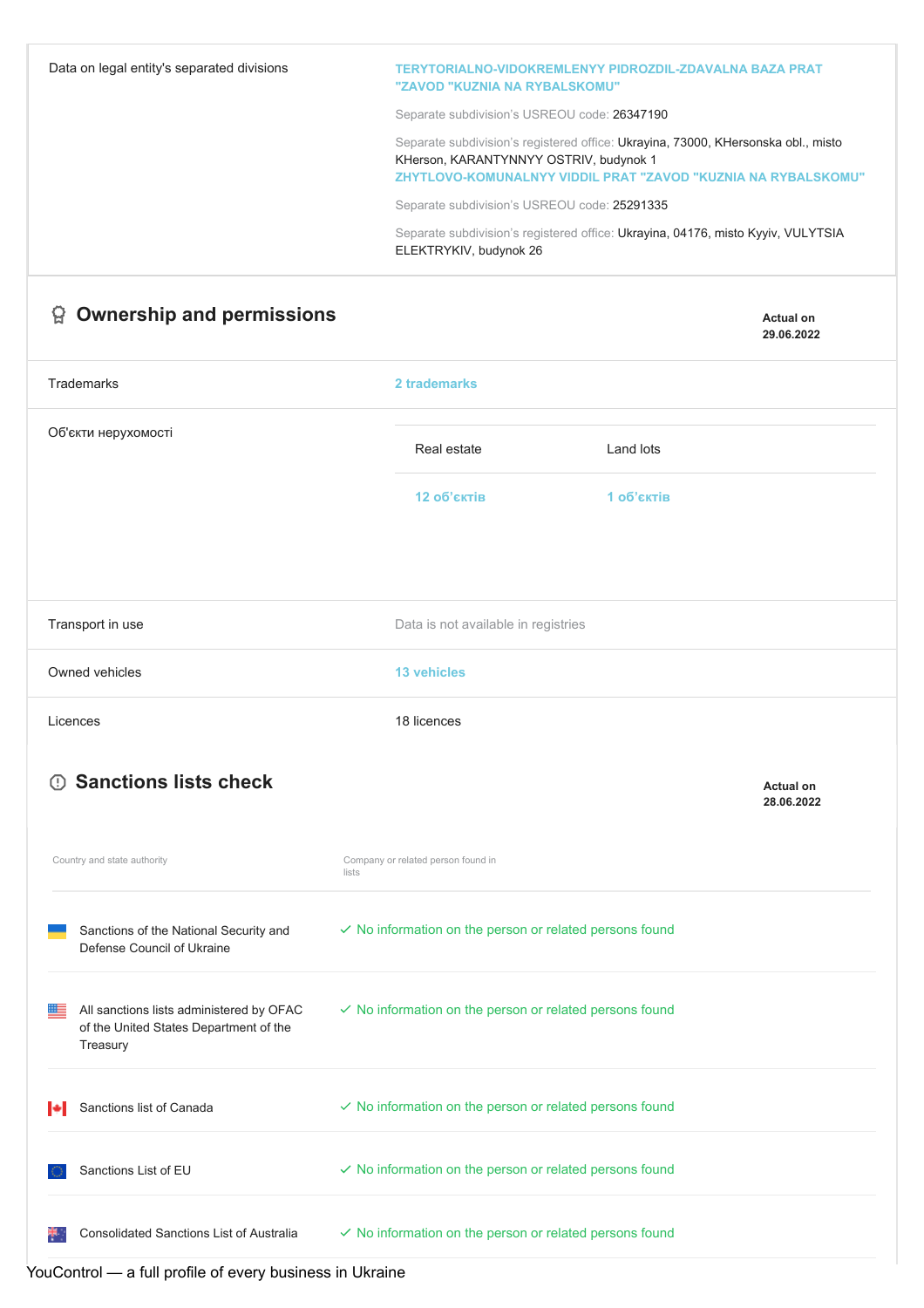| Data on legal entity's separated divisions                                                           | TERYTORIALNO-VIDOKREMLENYY PIDROZDIL-ZDAVALNA BAZA PRAT<br>"ZAVOD "KUZNIA NA RYBALSKOMU"                                                                                                     |                                |
|------------------------------------------------------------------------------------------------------|----------------------------------------------------------------------------------------------------------------------------------------------------------------------------------------------|--------------------------------|
|                                                                                                      | Separate subdivision's USREOU code: 26347190                                                                                                                                                 |                                |
|                                                                                                      | Separate subdivision's registered office: Ukrayina, 73000, KHersonska obl., misto<br>KHerson, KARANTYNNYY OSTRIV, budynok 1<br>ZHYTLOVO-KOMUNALNYY VIDDIL PRAT "ZAVOD "KUZNIA NA RYBALSKOMU" |                                |
|                                                                                                      | Separate subdivision's USREOU code: 25291335                                                                                                                                                 |                                |
|                                                                                                      | Separate subdivision's registered office: Ukrayina, 04176, misto Kyyiv, VULYTSIA<br>ELEKTRYKIV, budynok 26                                                                                   |                                |
| <b>Ownership and permissions</b><br>답                                                                |                                                                                                                                                                                              | <b>Actual on</b><br>29.06.2022 |
| <b>Trademarks</b>                                                                                    | 2 trademarks                                                                                                                                                                                 |                                |
| Об'єкти нерухомості                                                                                  | Real estate<br>Land lots                                                                                                                                                                     |                                |
|                                                                                                      | 12 об'єктів<br>1 об'єктів                                                                                                                                                                    |                                |
|                                                                                                      |                                                                                                                                                                                              |                                |
| Transport in use                                                                                     | Data is not available in registries                                                                                                                                                          |                                |
| Owned vehicles                                                                                       | <b>13 vehicles</b>                                                                                                                                                                           |                                |
| Licences                                                                                             | 18 licences                                                                                                                                                                                  |                                |
| <b>Sanctions lists check</b><br>$\left( \cdot \right)$                                               |                                                                                                                                                                                              | <b>Actual on</b><br>28.06.2022 |
| Country and state authority                                                                          | Company or related person found in<br>lists                                                                                                                                                  |                                |
| Sanctions of the National Security and<br>Defense Council of Ukraine                                 | $\checkmark$ No information on the person or related persons found                                                                                                                           |                                |
| All sanctions lists administered by OFAC<br>⊞≡<br>of the United States Department of the<br>Treasury | $\checkmark$ No information on the person or related persons found                                                                                                                           |                                |
| Sanctions list of Canada                                                                             | $\checkmark$ No information on the person or related persons found                                                                                                                           |                                |
| Sanctions List of EU                                                                                 | $\checkmark$ No information on the person or related persons found                                                                                                                           |                                |
| Consolidated Sanctions List of Australia                                                             | $\checkmark$ No information on the person or related persons found                                                                                                                           |                                |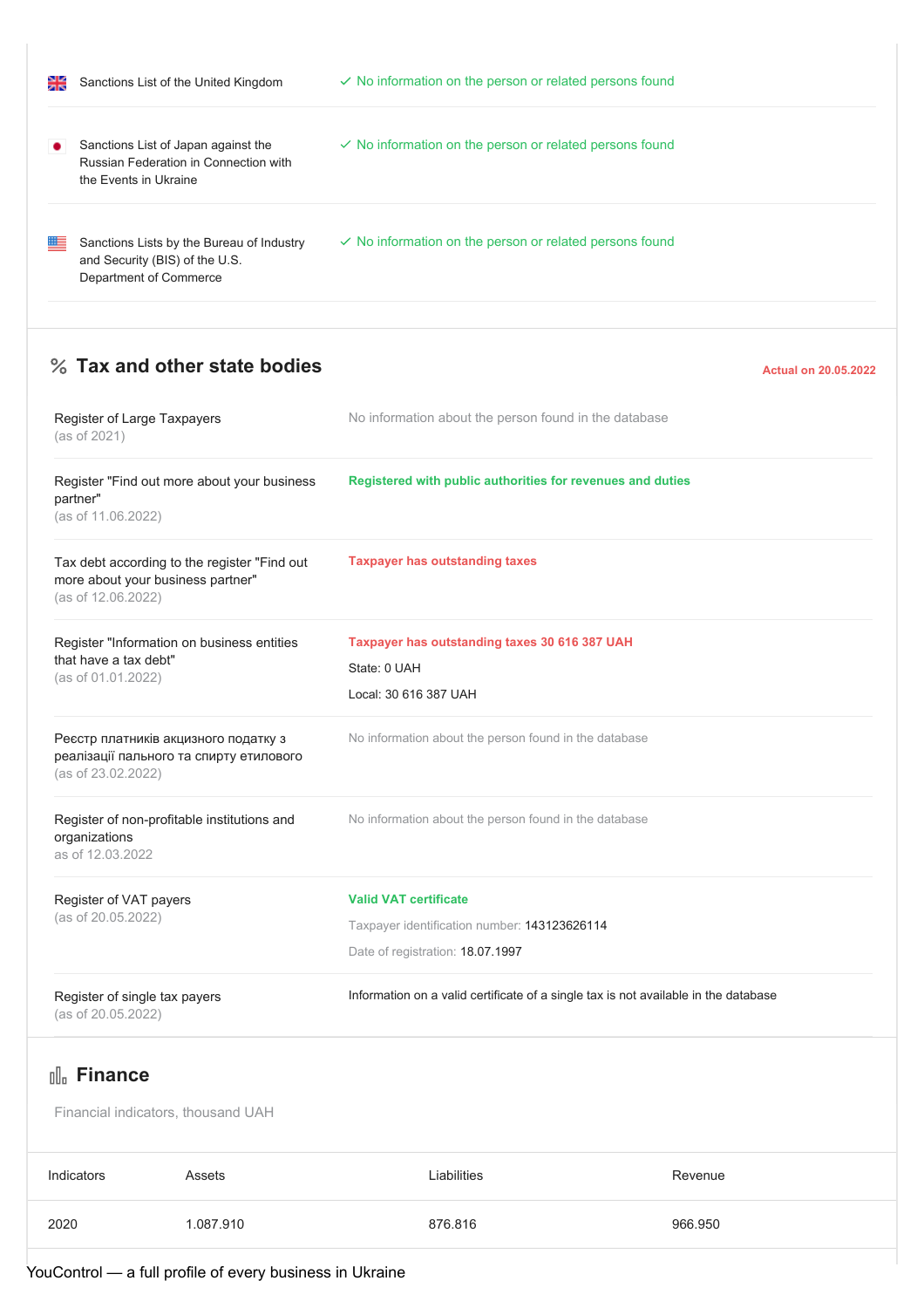| 을 | Sanctions List of the United Kingdom                                                                  | $\checkmark$ No information on the person or related persons found |
|---|-------------------------------------------------------------------------------------------------------|--------------------------------------------------------------------|
|   | Sanctions List of Japan against the<br>Russian Federation in Connection with<br>the Events in Ukraine | $\vee$ No information on the person or related persons found       |
| ≝ | Sanctions Lists by the Bureau of Industry<br>and Security (BIS) of the U.S.<br>Department of Commerce | $\checkmark$ No information on the person or related persons found |

## **28 Tax and other state bodies Actual on 20.05.2022**

| Register of Large Taxpayers<br>(as of 2021)         |                                                                                   | No information about the person found in the database                               |         |  |
|-----------------------------------------------------|-----------------------------------------------------------------------------------|-------------------------------------------------------------------------------------|---------|--|
| partner"<br>(as of 11.06.2022)                      | Register "Find out more about your business                                       | Registered with public authorities for revenues and duties                          |         |  |
| (as of 12.06.2022)                                  | Tax debt according to the register "Find out<br>more about your business partner" | <b>Taxpayer has outstanding taxes</b>                                               |         |  |
| that have a tax debt"                               | Register "Information on business entities                                        | Taxpayer has outstanding taxes 30 616 387 UAH<br>State: 0 UAH                       |         |  |
| (as of 01.01.2022)                                  |                                                                                   | Local: 30 616 387 UAH                                                               |         |  |
| (as of 23.02.2022)                                  | Реєстр платників акцизного податку з<br>реалізації пального та спирту етилового   | No information about the person found in the database                               |         |  |
| organizations<br>as of 12.03.2022                   | Register of non-profitable institutions and                                       | No information about the person found in the database                               |         |  |
| Register of VAT payers                              |                                                                                   | <b>Valid VAT certificate</b>                                                        |         |  |
| (as of 20.05.2022)                                  |                                                                                   | Taxpayer identification number: 143123626114                                        |         |  |
|                                                     |                                                                                   | Date of registration: 18.07.1997                                                    |         |  |
| Register of single tax payers<br>(as of 20.05.2022) |                                                                                   | Information on a valid certificate of a single tax is not available in the database |         |  |
| <sub>Ill</sub> Finance                              |                                                                                   |                                                                                     |         |  |
|                                                     | Financial indicators, thousand UAH                                                |                                                                                     |         |  |
| Indicators                                          | Assets                                                                            | Liabilities                                                                         | Revenue |  |

| 2020 | 1.087.910 | 876.816 | 966.950 |
|------|-----------|---------|---------|

 $\overline{Y}$ ouControl — a full profile of every business in Ukraine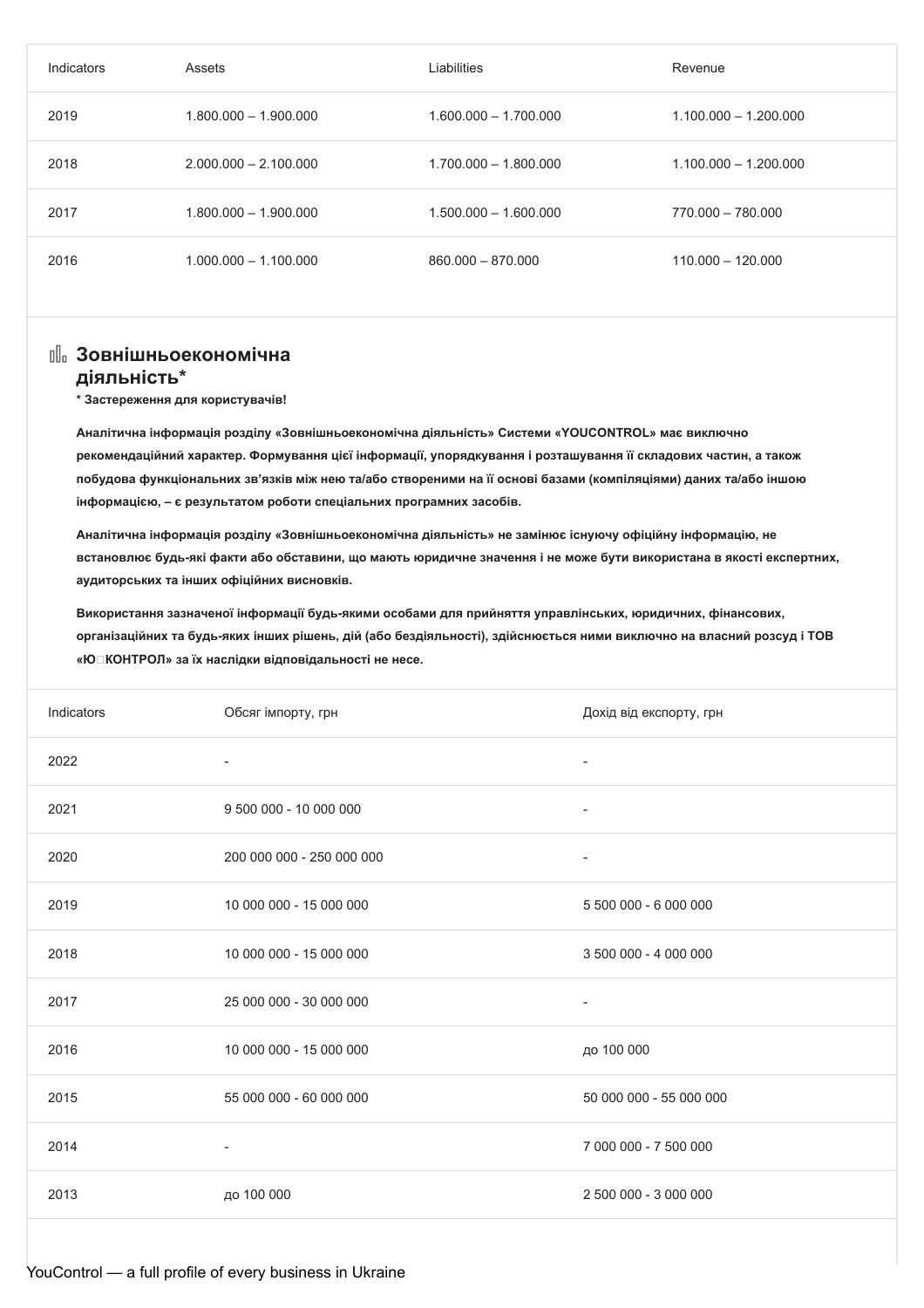| Indicators | Assets                  | Liabilities             | Revenue                 |
|------------|-------------------------|-------------------------|-------------------------|
| 2019       | $1.800.000 - 1.900.000$ | $1.600.000 - 1.700.000$ | $1.100.000 - 1.200.000$ |
| 2018       | $2.000.000 - 2.100.000$ | $1.700.000 - 1.800.000$ | $1.100.000 - 1.200.000$ |
| 2017       | $1.800.000 - 1.900.000$ | $1.500.000 - 1.600.000$ | 770.000 - 780.000       |
| 2016       | $1.000.000 - 1.100.000$ | $860.000 - 870.000$     | $110.000 - 120.000$     |

# **Зовнішньоекономічна**

### **діяльність\***

**\* Застереження для користувачів!**

**Аналітична інформація розділу «Зовнішньоекономічна діяльність» Системи «YOUCONTROL» має виключно рекомендаційний характер. Формування цієї інформації, упорядкування і розташування її складових частин, а також побудова функціональних зв'язків між нею та/або створеними на її основі базами (компіляціями) даних та/або іншою інформацією, – є результатом роботи спеціальних програмних засобів.**

**Аналітична інформація розділу «Зовнішньоекономічна діяльність» не замінює існуючу офіційну інформацію, не** встановлює будь-які факти або обставини, що мають юридичне значення і не може бути використана в якості експертних, **аудиторських та інших офіційних висновків.**

**Використання зазначеної інформації будь-якими особами для прийняття управлінських, юридичних, фінансових,** організаційних та будь-яких інших рішень, дій (або бездіяльності), здійснюється ними виключно на власний розсуд і ТОВ **«ЮКОНТРОЛ» за їх наслідки відповідальності не несе.**

| Indicators | Обсяг імпорту, грн        | Дохід від експорту, грн  |
|------------|---------------------------|--------------------------|
| 2022       | $\overline{\phantom{a}}$  | $\overline{\phantom{a}}$ |
| 2021       | 9 500 000 - 10 000 000    | $\overline{\phantom{a}}$ |
| 2020       | 200 000 000 - 250 000 000 | $\overline{\phantom{a}}$ |
| 2019       | 10 000 000 - 15 000 000   | 5 500 000 - 6 000 000    |
| 2018       | 10 000 000 - 15 000 000   | 3 500 000 - 4 000 000    |
| 2017       | 25 000 000 - 30 000 000   | $\overline{\phantom{a}}$ |
| 2016       | 10 000 000 - 15 000 000   | до 100 000               |
| 2015       | 55 000 000 - 60 000 000   | 50 000 000 - 55 000 000  |
| 2014       | $\overline{\phantom{a}}$  | 7 000 000 - 7 500 000    |
| 2013       | до 100 000                | 2 500 000 - 3 000 000    |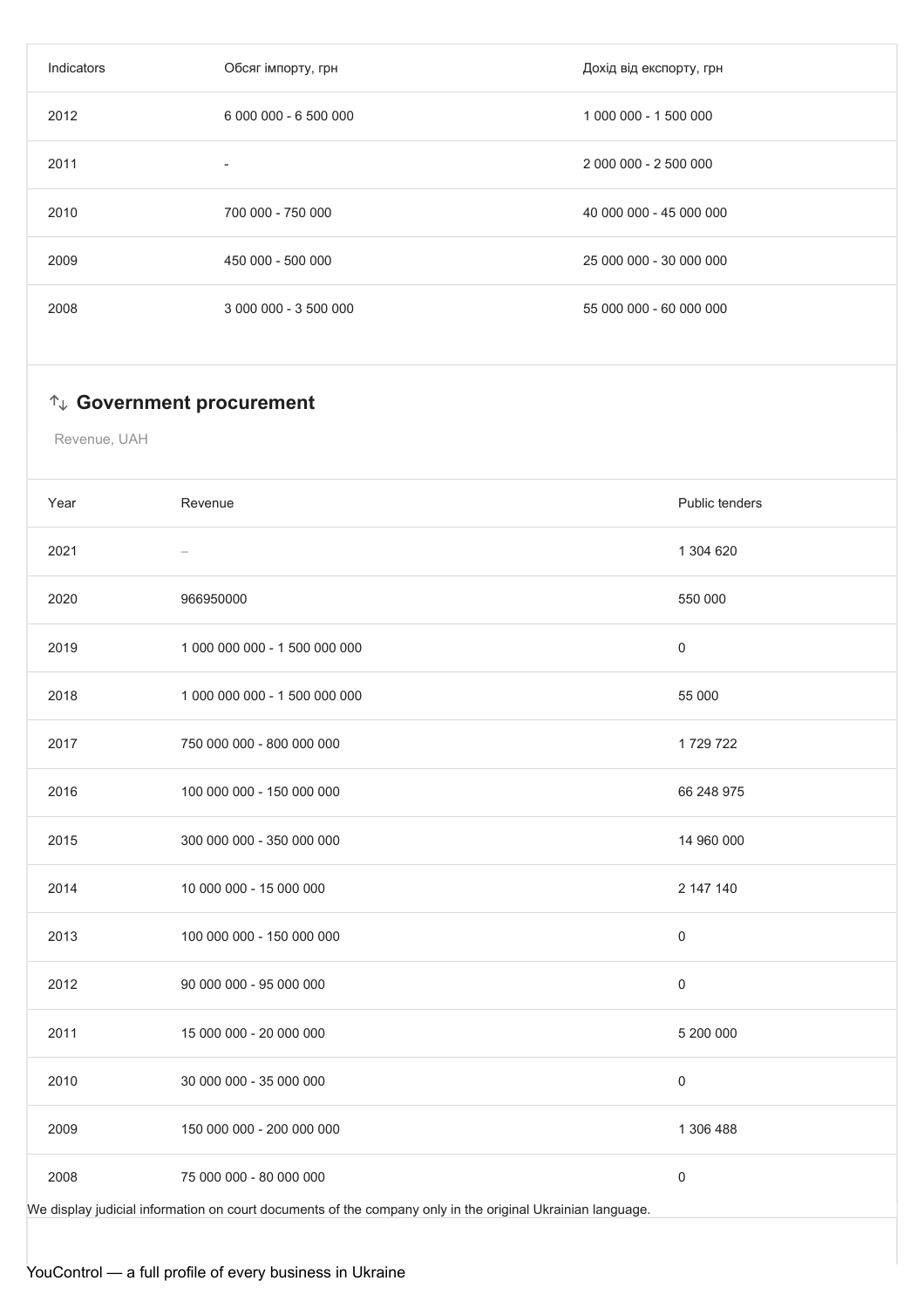| Обсяг імпорту, грн       | Дохід від експорту, грн |
|--------------------------|-------------------------|
| 6 000 000 - 6 500 000    | 1 000 000 - 1 500 000   |
| $\overline{\phantom{a}}$ | 2 000 000 - 2 500 000   |
| 700 000 - 750 000        | 40 000 000 - 45 000 000 |
| 450 000 - 500 000        | 25 000 000 - 30 000 000 |
| 3 000 000 - 3 500 000    | 55 000 000 - 60 000 000 |
|                          |                         |

## **Government procurement**

Revenue, UAH

| Year                                                                                                       | Revenue                       | Public tenders   |  |
|------------------------------------------------------------------------------------------------------------|-------------------------------|------------------|--|
| 2021                                                                                                       |                               | 1 304 620        |  |
| 2020                                                                                                       | 966950000                     | 550 000          |  |
| 2019                                                                                                       | 1 000 000 000 - 1 500 000 000 | $\boldsymbol{0}$ |  |
| 2018                                                                                                       | 1 000 000 000 - 1 500 000 000 | 55 000           |  |
| 2017                                                                                                       | 750 000 000 - 800 000 000     | 1729722          |  |
| 2016                                                                                                       | 100 000 000 - 150 000 000     | 66 248 975       |  |
| 2015                                                                                                       | 300 000 000 - 350 000 000     | 14 960 000       |  |
| 2014                                                                                                       | 10 000 000 - 15 000 000       | 2 147 140        |  |
| 2013                                                                                                       | 100 000 000 - 150 000 000     | $\boldsymbol{0}$ |  |
| 2012                                                                                                       | 90 000 000 - 95 000 000       | 0                |  |
| 2011                                                                                                       | 15 000 000 - 20 000 000       | 5 200 000        |  |
| 2010                                                                                                       | 30 000 000 - 35 000 000       | $\mathsf 0$      |  |
| 2009                                                                                                       | 150 000 000 - 200 000 000     | 1 306 488        |  |
| 2008                                                                                                       | 75 000 000 - 80 000 000       | $\boldsymbol{0}$ |  |
| We display judicial information on court documents of the company only in the original Ukrainian language. |                               |                  |  |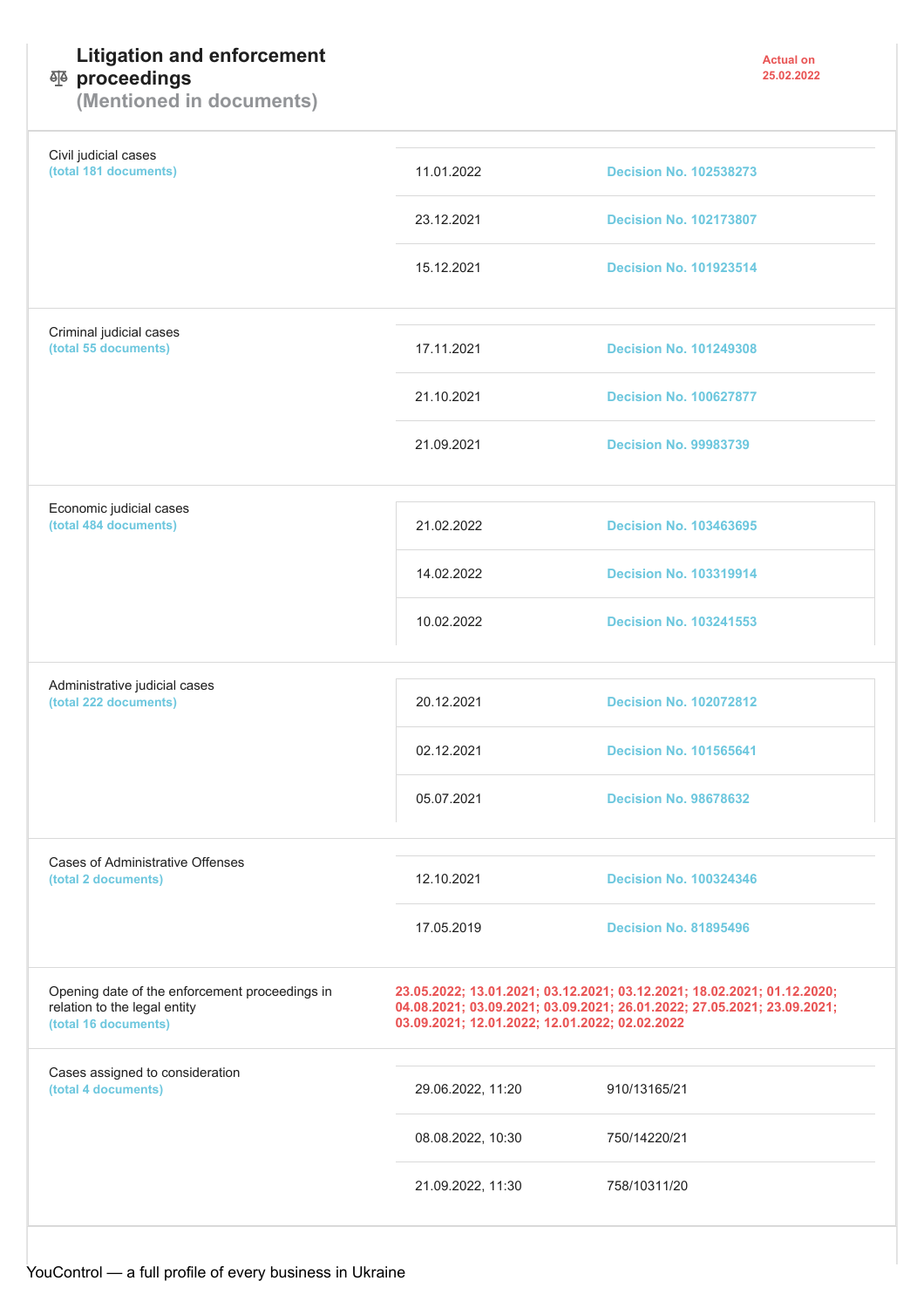# **Litigation and enforcement**

### **proceedings**

**(Mentioned in documents)**

| Civil judicial cases<br>(total 181 documents)                                                          | 11.01.2022                                                                                                                                                                                           | <b>Decision No. 102538273</b> |  |
|--------------------------------------------------------------------------------------------------------|------------------------------------------------------------------------------------------------------------------------------------------------------------------------------------------------------|-------------------------------|--|
|                                                                                                        | 23.12.2021                                                                                                                                                                                           | <b>Decision No. 102173807</b> |  |
|                                                                                                        | 15.12.2021                                                                                                                                                                                           | <b>Decision No. 101923514</b> |  |
| Criminal judicial cases<br>(total 55 documents)                                                        | 17.11.2021                                                                                                                                                                                           | <b>Decision No. 101249308</b> |  |
|                                                                                                        | 21.10.2021                                                                                                                                                                                           | <b>Decision No. 100627877</b> |  |
|                                                                                                        | 21.09.2021                                                                                                                                                                                           | <b>Decision No. 99983739</b>  |  |
| Economic judicial cases<br>(total 484 documents)                                                       | 21.02.2022                                                                                                                                                                                           | <b>Decision No. 103463695</b> |  |
|                                                                                                        | 14.02.2022                                                                                                                                                                                           | <b>Decision No. 103319914</b> |  |
|                                                                                                        | 10.02.2022                                                                                                                                                                                           | <b>Decision No. 103241553</b> |  |
| Administrative judicial cases<br>(total 222 documents)                                                 | 20.12.2021                                                                                                                                                                                           | <b>Decision No. 102072812</b> |  |
|                                                                                                        | 02.12.2021                                                                                                                                                                                           | <b>Decision No. 101565641</b> |  |
|                                                                                                        | 05.07.2021                                                                                                                                                                                           | <b>Decision No. 98678632</b>  |  |
| Cases of Administrative Offenses<br>(total 2 documents)                                                | 12.10.2021                                                                                                                                                                                           | <b>Decision No. 100324346</b> |  |
|                                                                                                        | 17.05.2019                                                                                                                                                                                           | <b>Decision No. 81895496</b>  |  |
| Opening date of the enforcement proceedings in<br>relation to the legal entity<br>(total 16 documents) | 23.05.2022; 13.01.2021; 03.12.2021; 03.12.2021; 18.02.2021; 01.12.2020;<br>04.08.2021; 03.09.2021; 03.09.2021; 26.01.2022; 27.05.2021; 23.09.2021;<br>03.09.2021; 12.01.2022; 12.01.2022; 02.02.2022 |                               |  |
| Cases assigned to consideration<br>(total 4 documents)                                                 | 29.06.2022, 11:20                                                                                                                                                                                    | 910/13165/21                  |  |
|                                                                                                        | 08.08.2022, 10:30                                                                                                                                                                                    | 750/14220/21                  |  |
|                                                                                                        | 21.09.2022, 11:30                                                                                                                                                                                    | 758/10311/20                  |  |
|                                                                                                        |                                                                                                                                                                                                      |                               |  |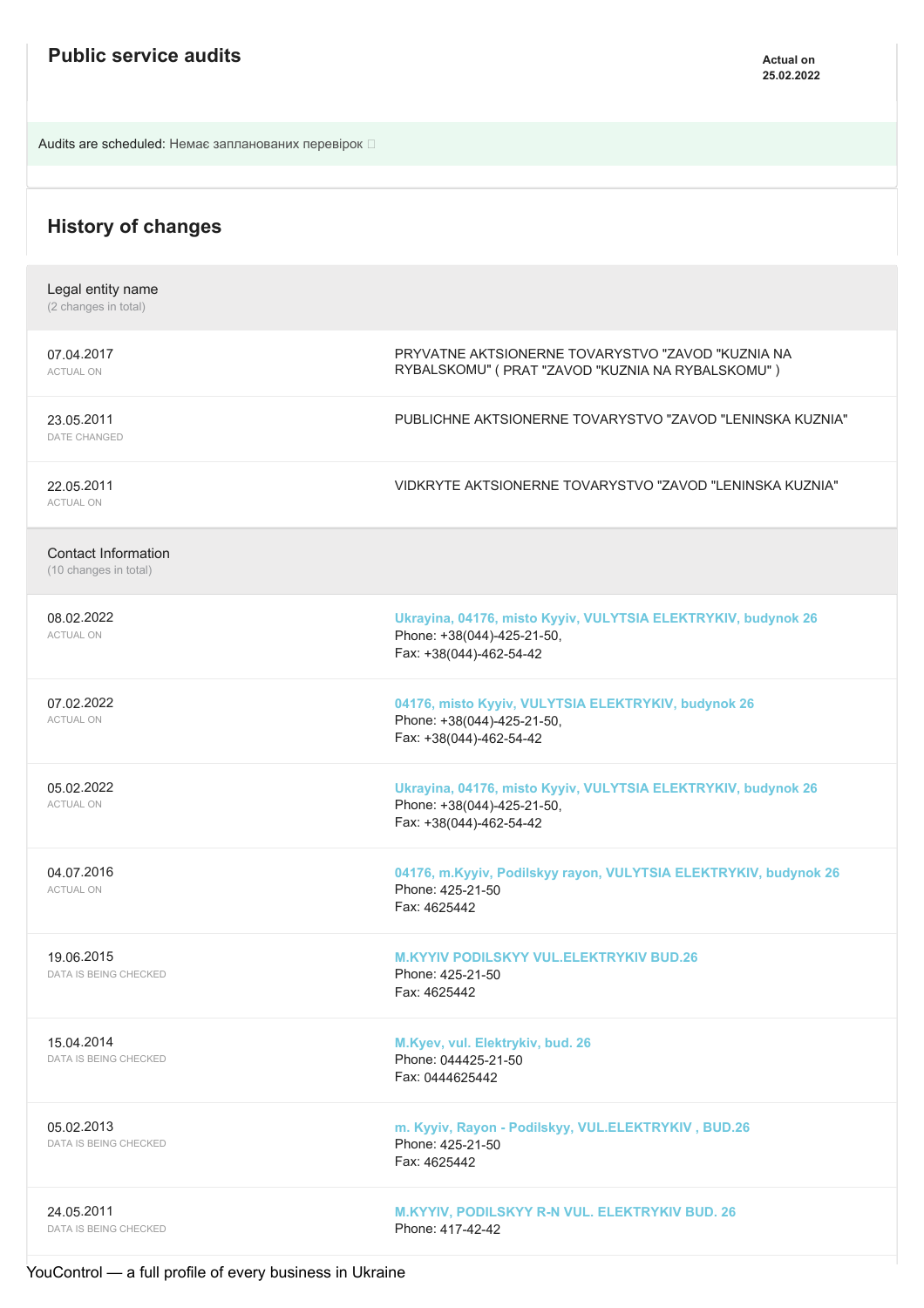Audits are scheduled: Немає запланованих перевірок

| <b>History of changes</b>                           |                                                                                                                        |
|-----------------------------------------------------|------------------------------------------------------------------------------------------------------------------------|
| Legal entity name<br>(2 changes in total)           |                                                                                                                        |
| 07.04.2017<br><b>ACTUAL ON</b>                      | PRYVATNE AKTSIONERNE TOVARYSTVO "ZAVOD "KUZNIA NA<br>RYBALSKOMU" (PRAT "ZAVOD "KUZNIA NA RYBALSKOMU")                  |
| 23.05.2011<br>DATE CHANGED                          | PUBLICHNE AKTSIONERNE TOVARYSTVO "ZAVOD "LENINSKA KUZNIA"                                                              |
| 22.05.2011<br><b>ACTUAL ON</b>                      | VIDKRYTE AKTSIONERNE TOVARYSTVO "ZAVOD "LENINSKA KUZNIA"                                                               |
| <b>Contact Information</b><br>(10 changes in total) |                                                                                                                        |
| 08.02.2022<br><b>ACTUAL ON</b>                      | Ukrayina, 04176, misto Kyyiv, VULYTSIA ELEKTRYKIV, budynok 26<br>Phone: +38(044)-425-21-50,<br>Fax: +38(044)-462-54-42 |
| 07.02.2022<br><b>ACTUAL ON</b>                      | 04176, misto Kyyiv, VULYTSIA ELEKTRYKIV, budynok 26<br>Phone: +38(044)-425-21-50,<br>Fax: +38(044)-462-54-42           |
| 05.02.2022<br><b>ACTUAL ON</b>                      | Ukrayina, 04176, misto Kyyiv, VULYTSIA ELEKTRYKIV, budynok 26<br>Phone: +38(044)-425-21-50,<br>Fax: +38(044)-462-54-42 |
| 04.07.2016<br><b>ACTUAL ON</b>                      | 04176, m.Kyyiv, Podilskyy rayon, VULYTSIA ELEKTRYKIV, budynok 26<br>Phone: 425-21-50<br>Fax: 4625442                   |
| 19.06.2015<br>DATA IS BEING CHECKED                 | <b>M.KYYIV PODILSKYY VUL.ELEKTRYKIV BUD.26</b><br>Phone: 425-21-50<br>Fax: 4625442                                     |
| 15.04.2014<br>DATA IS BEING CHECKED                 | M.Kyev, vul. Elektrykiv, bud. 26<br>Phone: 044425-21-50<br>Fax: 0444625442                                             |
| 05.02.2013<br>DATA IS BEING CHECKED                 | m. Kyyiv, Rayon - Podilskyy, VUL.ELEKTRYKIV, BUD.26<br>Phone: 425-21-50<br>Fax: 4625442                                |
| 24.05.2011<br>DATA IS BEING CHECKED                 | <b>M.KYYIV, PODILSKYY R-N VUL. ELEKTRYKIV BUD. 26</b><br>Phone: 417-42-42                                              |

YouControl — a full profile of every business in Ukraine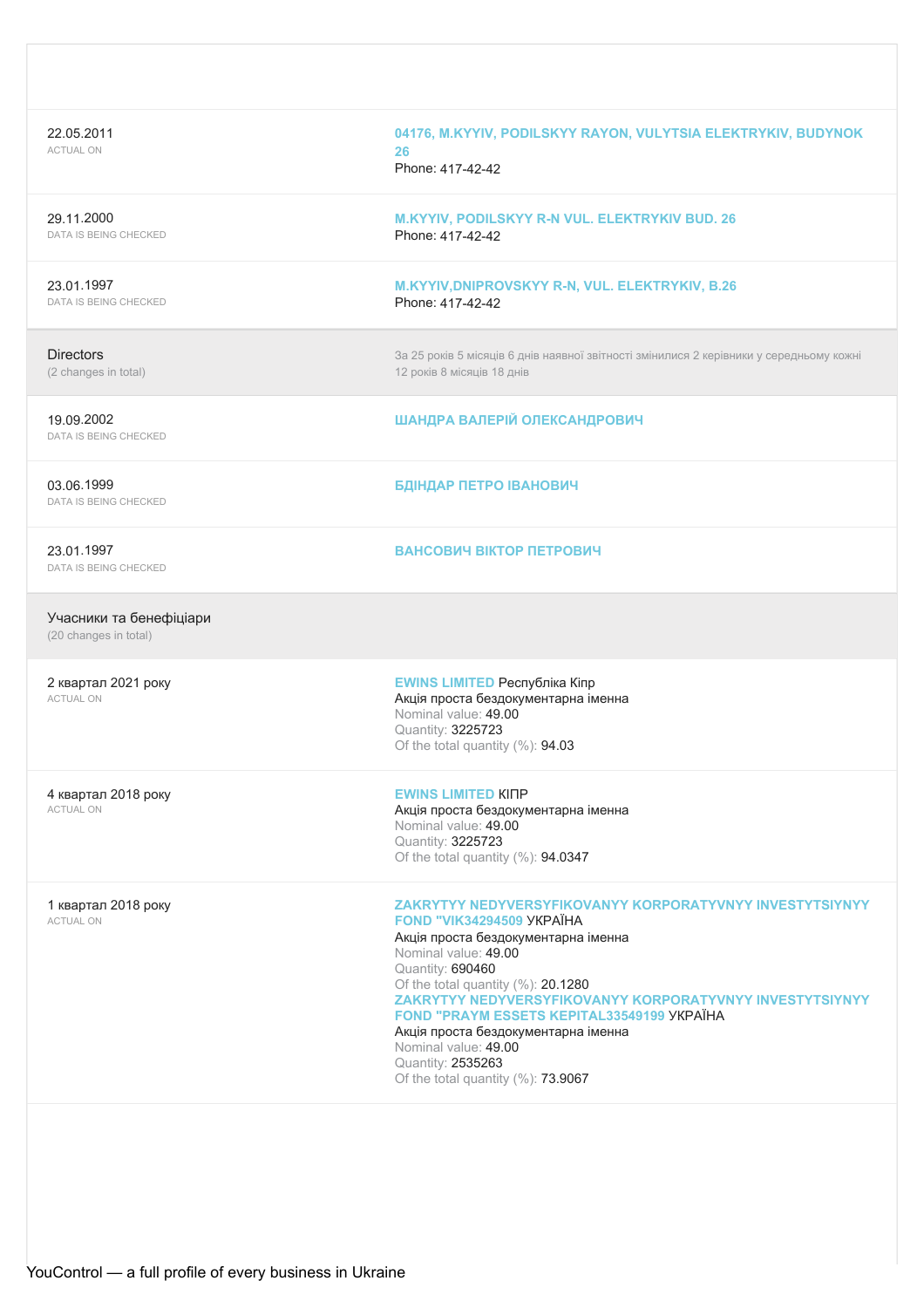| 22.05.2011<br><b>ACTUAL ON</b>                   | 04176, M.KYYIV, PODILSKYY RAYON, VULYTSIA ELEKTRYKIV, BUDYNOK<br>26<br>Phone: 417-42-42                                                                                                                                                                                                                                                                                                                                                            |
|--------------------------------------------------|----------------------------------------------------------------------------------------------------------------------------------------------------------------------------------------------------------------------------------------------------------------------------------------------------------------------------------------------------------------------------------------------------------------------------------------------------|
| 29.11.2000<br><b>DATA IS BEING CHECKED</b>       | M.KYYIV, PODILSKYY R-N VUL. ELEKTRYKIV BUD. 26<br>Phone: 417-42-42                                                                                                                                                                                                                                                                                                                                                                                 |
| 23.01.1997<br>DATA IS BEING CHECKED              | M.KYYIV, DNIPROVSKYY R-N, VUL. ELEKTRYKIV, B.26<br>Phone: 417-42-42                                                                                                                                                                                                                                                                                                                                                                                |
| <b>Directors</b><br>(2 changes in total)         | За 25 років 5 місяців 6 днів наявної звітності змінилися 2 керівники у середньому кожні<br>12 років 8 місяців 18 днів                                                                                                                                                                                                                                                                                                                              |
| 19.09.2002<br><b>DATA IS BEING CHECKED</b>       | ШАНДРА ВАЛЕРІЙ ОЛЕКСАНДРОВИЧ                                                                                                                                                                                                                                                                                                                                                                                                                       |
| 03.06.1999<br>DATA IS BEING CHECKED              | БДІНДАР ПЕТРО ІВАНОВИЧ                                                                                                                                                                                                                                                                                                                                                                                                                             |
| 23.01.1997<br>DATA IS BEING CHECKED              | ВАНСОВИЧ ВІКТОР ПЕТРОВИЧ                                                                                                                                                                                                                                                                                                                                                                                                                           |
| Учасники та бенефіціари<br>(20 changes in total) |                                                                                                                                                                                                                                                                                                                                                                                                                                                    |
| 2 квартал 2021 року<br><b>ACTUAL ON</b>          | <b>EWINS LIMITED Республіка Кіпр</b><br>Акція проста бездокументарна іменна<br>Nominal value: 49.00<br>Quantity: 3225723<br>Of the total quantity (%): 94.03                                                                                                                                                                                                                                                                                       |
| 4 квартал 2018 року<br><b>ACTUAL ON</b>          | <b>EWINS LIMITED KINP</b><br>Акція проста бездокументарна іменна<br>Nominal value: 49.00<br>Quantity: 3225723<br>Of the total quantity (%): 94.0347                                                                                                                                                                                                                                                                                                |
| 1 квартал 2018 року<br><b>ACTUAL ON</b>          | ZAKRYTYY NEDYVERSYFIKOVANYY KORPORATYVNYY INVESTYTSIYNYY<br>FOND "VIK34294509 YKPAÏHA<br>Акція проста бездокументарна іменна<br>Nominal value: 49.00<br>Quantity: 690460<br>Of the total quantity (%): 20.1280<br>ZAKRYTYY NEDYVERSYFIKOVANYY KORPORATYVNYY INVESTYTSIYNYY<br>FOND "PRAYM ESSETS KEPITAL33549199 YKPAÏHA<br>Акція проста бездокументарна іменна<br>Nominal value: 49.00<br>Quantity: 2535263<br>Of the total quantity (%): 73.9067 |
|                                                  |                                                                                                                                                                                                                                                                                                                                                                                                                                                    |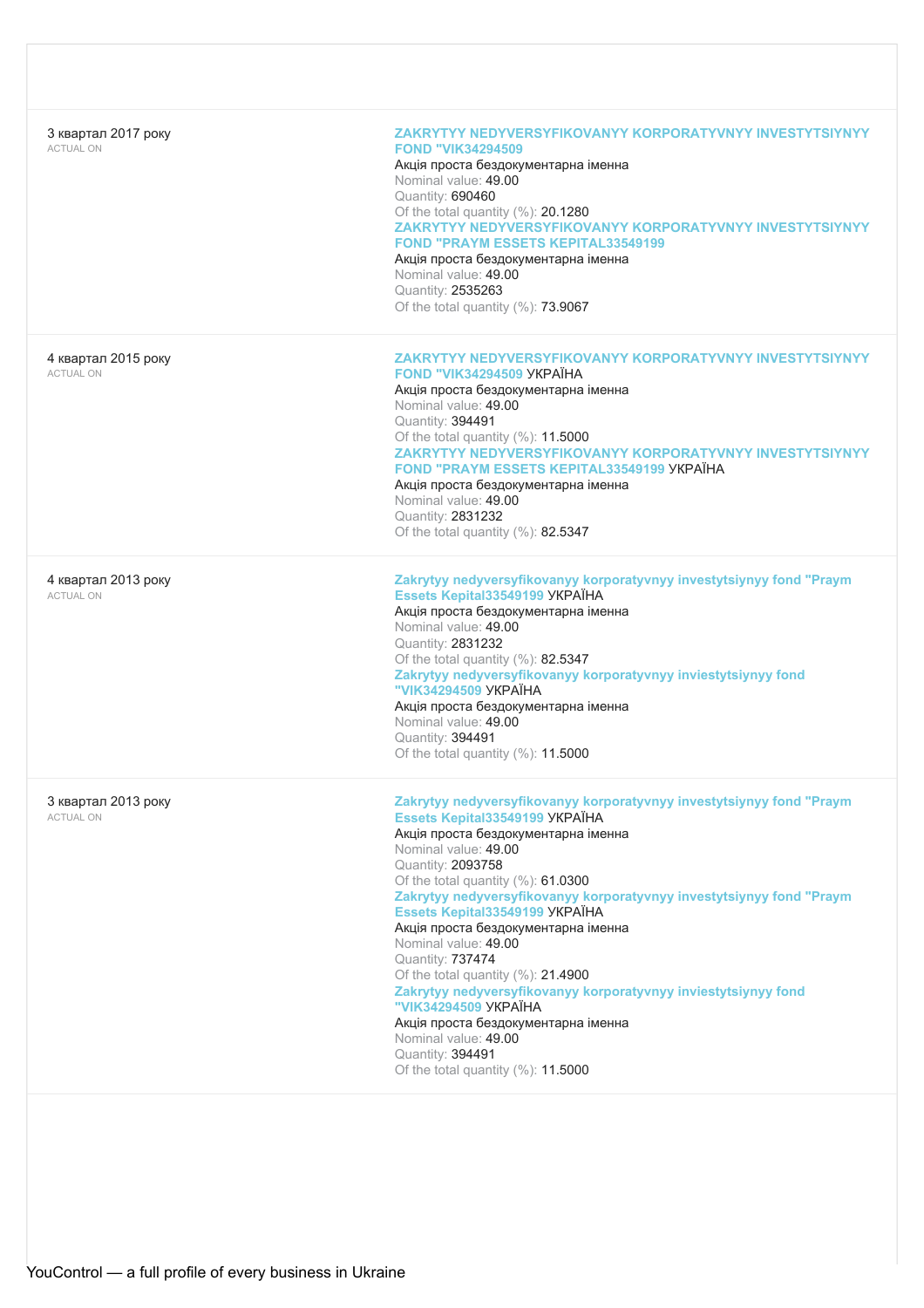| 3 квартал 2017 року<br><b>ACTUAL ON</b> | ZAKRYTYY NEDYVERSYFIKOVANYY KORPORATYVNYY INVESTYTSIYNYY<br><b>FOND "VIK34294509</b><br>Акція проста бездокументарна іменна<br>Nominal value: 49.00<br>Quantity: 690460<br>Of the total quantity (%): 20.1280<br>ZAKRYTYY NEDYVERSYFIKOVANYY KORPORATYVNYY INVESTYTSIYNYY<br><b>FOND "PRAYM ESSETS KEPITAL33549199</b><br>Акція проста бездокументарна іменна<br>Nominal value: 49.00<br>Quantity: 2535263<br>Of the total quantity (%): 73.9067                                                                                                                                                                             |
|-----------------------------------------|------------------------------------------------------------------------------------------------------------------------------------------------------------------------------------------------------------------------------------------------------------------------------------------------------------------------------------------------------------------------------------------------------------------------------------------------------------------------------------------------------------------------------------------------------------------------------------------------------------------------------|
| 4 квартал 2015 року<br><b>ACTUAL ON</b> | ZAKRYTYY NEDYVERSYFIKOVANYY KORPORATYVNYY INVESTYTSIYNYY<br>FOND "VIK34294509 YKPAÏHA<br>Акція проста бездокументарна іменна<br>Nominal value: 49.00<br>Quantity: 394491<br>Of the total quantity (%): 11.5000<br>ZAKRYTYY NEDYVERSYFIKOVANYY KORPORATYVNYY INVESTYTSIYNYY<br>FOND "PRAYM ESSETS KEPITAL33549199 YKPAÏHA<br>Акція проста бездокументарна іменна<br>Nominal value: 49.00<br>Quantity: 2831232<br>Of the total quantity $(\%): 82.5347$                                                                                                                                                                        |
| 4 квартал 2013 року<br><b>ACTUAL ON</b> | Zakrytyy nedyversyfikovanyy korporatyvnyy investytsiynyy fond "Praym<br>Essets Kepital33549199 YKPAÏHA<br>Акція проста бездокументарна іменна<br>Nominal value: 49.00<br>Quantity: 2831232<br>Of the total quantity (%): 82.5347<br>Zakrytyy nedyversyfikovanyy korporatyvnyy inviestytsiynyy fond<br>"VIK34294509 YKPAÏHA<br>Акція проста бездокументарна іменна<br>Nominal value: 49.00<br>Quantity: 394491<br>Of the total quantity $(\%): 11.5000$                                                                                                                                                                       |
| 3 квартал 2013 року<br><b>ACTUAL ON</b> | Zakrytyy nedyversyfikovanyy korporatyvnyy investytsiynyy fond "Praym<br>Essets Kepital33549199 YKPAÏHA<br>Акція проста бездокументарна іменна<br>Nominal value: 49.00<br>Quantity: 2093758<br>Of the total quantity (%): 61.0300<br>Zakrytyy nedyversyfikovanyy korporatyvnyy investytsiynyy fond "Praym<br>Essets Kepital33549199 YKPAÏHA<br>Акція проста бездокументарна іменна<br>Nominal value: 49.00<br>Quantity: 737474<br>Of the total quantity (%): 21.4900<br>Zakrytyy nedyversyfikovanyy korporatyvnyy inviestytsiynyy fond<br>"VIK34294509 YKPAÏHA<br>Акція проста бездокументарна іменна<br>Nominal value: 49.00 |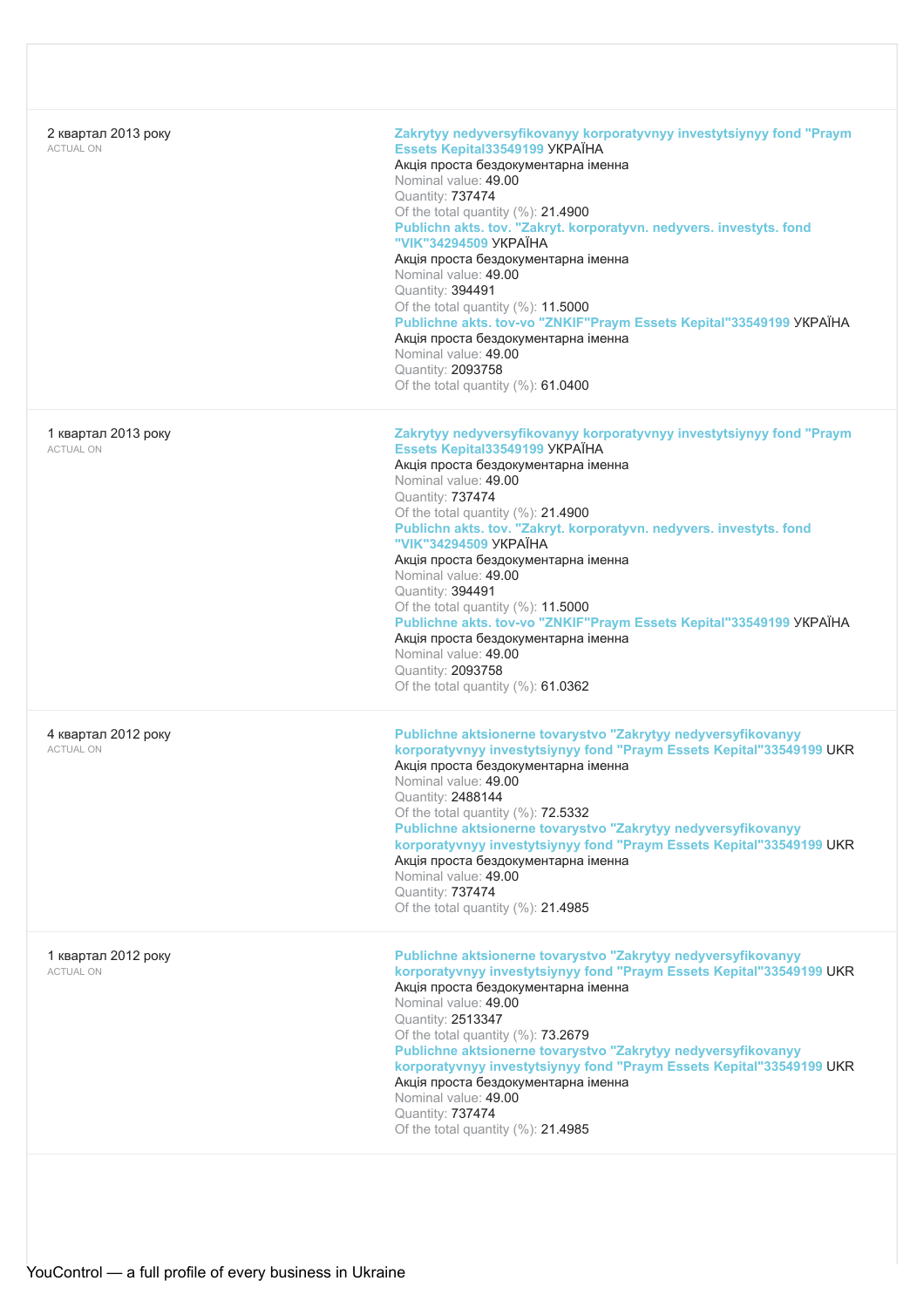| 2 квартал 2013 року<br><b>ACTUAL ON</b> | Zakrytyy nedyversyfikovanyy korporatyvnyy investytsiynyy fond "Praym<br>Essets Kepital33549199 YKPAÏHA<br>Акція проста бездокументарна іменна<br>Nominal value: 49.00<br>Quantity: 737474<br>Of the total quantity (%): 21.4900<br>Publichn akts. tov. "Zakryt. korporatyvn. nedyvers. investyts. fond<br>"VIK"34294509 YKPAÏHA<br>Акція проста бездокументарна іменна<br>Nominal value: 49.00<br>Quantity: 394491<br>Of the total quantity $(\%)$ : 11.5000<br>Publichne akts. tov-vo "ZNKIF"Praym Essets Kepital"33549199 YKPAÏHA<br>Акція проста бездокументарна іменна<br>Nominal value: 49.00<br>Quantity: 2093758<br>Of the total quantity (%): 61.0400 |
|-----------------------------------------|---------------------------------------------------------------------------------------------------------------------------------------------------------------------------------------------------------------------------------------------------------------------------------------------------------------------------------------------------------------------------------------------------------------------------------------------------------------------------------------------------------------------------------------------------------------------------------------------------------------------------------------------------------------|
| 1 квартал 2013 року<br><b>ACTUAL ON</b> | Zakrytyy nedyversyfikovanyy korporatyvnyy investytsiynyy fond "Praym<br>Essets Kepital33549199 YKPAÏHA<br>Акція проста бездокументарна іменна<br>Nominal value: 49.00<br>Quantity: 737474<br>Of the total quantity (%): 21.4900<br>Publichn akts. tov. "Zakryt. korporatyvn. nedyvers. investyts. fond<br>"VIK"34294509 YKPAIHA<br>Акція проста бездокументарна іменна<br>Nominal value: 49.00<br>Quantity: 394491<br>Of the total quantity (%): 11.5000<br>Publichne akts. tov-vo "ZNKIF"Praym Essets Kepital"33549199 YKPAÏHA<br>Акція проста бездокументарна іменна<br>Nominal value: 49.00<br>Quantity: 2093758<br>Of the total quantity $(\%)$ : 61.0362 |
| 4 квартал 2012 року<br><b>ACTUAL ON</b> | Publichne aktsionerne tovarystvo "Zakrytyy nedyversyfikovanyy<br>korporatyvnyy investytsiynyy fond "Praym Essets Kepital"33549199 UKR<br>Акція проста бездокументарна іменна<br>Nominal value: 49.00<br>Quantity: 2488144<br>Of the total quantity $(\%): 72.5332$<br>Publichne aktsionerne tovarystvo "Zakrytyy nedyversyfikovanyy<br>korporatyvnyy investytsiynyy fond "Praym Essets Kepital"33549199 UKR<br>Акція проста бездокументарна іменна<br>Nominal value: 49.00<br>Quantity: 737474<br>Of the total quantity $(\%)$ : 21.4985                                                                                                                      |
| 1 квартал 2012 року<br><b>ACTUAL ON</b> | Publichne aktsionerne tovarystvo "Zakrytyy nedyversyfikovanyy<br>korporatyvnyy investytsiynyy fond "Praym Essets Kepital"33549199 UKR<br>Акція проста бездокументарна іменна<br>Nominal value: 49.00<br>Quantity: 2513347<br>Of the total quantity (%): 73.2679<br>Publichne aktsionerne tovarystvo "Zakrytyy nedyversyfikovanyy<br>korporatyvnyy investytsiynyy fond "Praym Essets Kepital"33549199 UKR<br>Акція проста бездокументарна іменна<br>Nominal value: 49.00<br>Quantity: 737474<br>Of the total quantity $(\%):$ 21.4985                                                                                                                          |
|                                         |                                                                                                                                                                                                                                                                                                                                                                                                                                                                                                                                                                                                                                                               |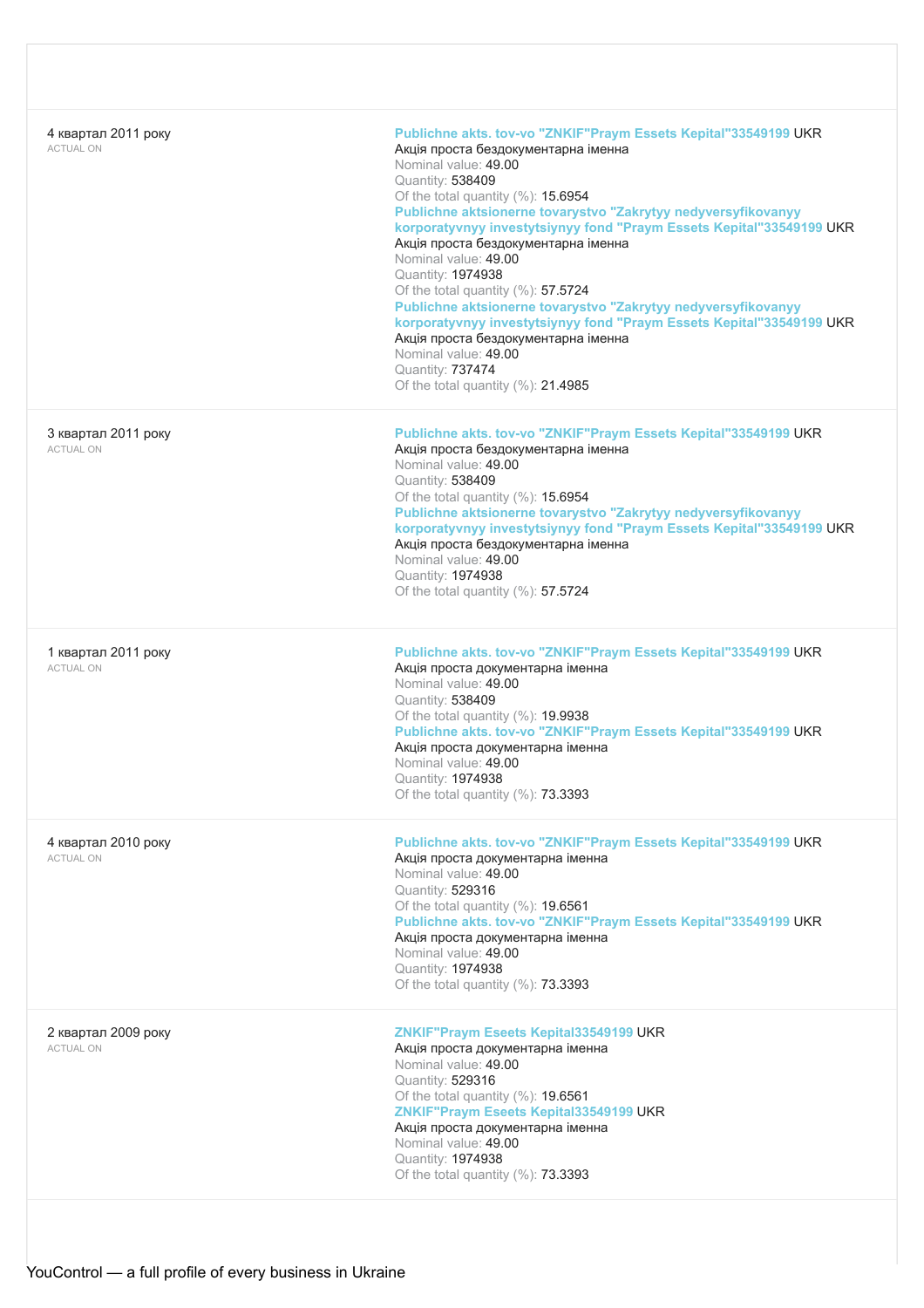| 4 квартал 2011 року<br><b>ACTUAL ON</b> | Publichne akts. tov-vo "ZNKIF"Praym Essets Kepital"33549199 UKR<br>Акція проста бездокументарна іменна<br>Nominal value: 49.00<br>Quantity: 538409<br>Of the total quantity (%): 15.6954<br>Publichne aktsionerne tovarystvo "Zakrytyy nedyversyfikovanyy<br>korporatyvnyy investytsiynyy fond "Praym Essets Kepital"33549199 UKR<br>Акція проста бездокументарна іменна<br>Nominal value: 49.00<br>Quantity: 1974938<br>Of the total quantity (%): 57.5724<br>Publichne aktsionerne tovarystvo "Zakrytyy nedyversyfikovanyy<br>korporatyvnyy investytsiynyy fond "Praym Essets Kepital"33549199 UKR<br>Акція проста бездокументарна іменна<br>Nominal value: 49.00<br>Quantity: 737474<br>Of the total quantity (%): 21.4985 |
|-----------------------------------------|-------------------------------------------------------------------------------------------------------------------------------------------------------------------------------------------------------------------------------------------------------------------------------------------------------------------------------------------------------------------------------------------------------------------------------------------------------------------------------------------------------------------------------------------------------------------------------------------------------------------------------------------------------------------------------------------------------------------------------|
| 3 квартал 2011 року<br><b>ACTUAL ON</b> | Publichne akts. tov-vo "ZNKIF"Praym Essets Kepital"33549199 UKR<br>Акція проста бездокументарна іменна<br>Nominal value: 49.00<br>Quantity: 538409<br>Of the total quantity (%): 15.6954<br>Publichne aktsionerne tovarystvo "Zakrytyy nedyversyfikovanyy<br>korporatyvnyy investytsiynyy fond "Praym Essets Kepital"33549199 UKR<br>Акція проста бездокументарна іменна<br>Nominal value: 49.00<br>Quantity: 1974938<br>Of the total quantity $(\%): 57.5724$                                                                                                                                                                                                                                                                |
| 1 квартал 2011 року<br><b>ACTUAL ON</b> | Publichne akts. tov-vo "ZNKIF"Praym Essets Kepital"33549199 UKR<br>Акція проста документарна іменна<br>Nominal value: 49.00<br>Quantity: 538409<br>Of the total quantity (%): 19.9938<br>Publichne akts. tov-vo "ZNKIF"Praym Essets Kepital"33549199 UKR<br>Акція проста документарна іменна<br>Nominal value: 49.00<br>Quantity: 1974938<br>Of the total quantity (%): 73.3393                                                                                                                                                                                                                                                                                                                                               |
| 4 квартал 2010 року<br><b>ACTUAL ON</b> | Publichne akts. tov-vo "ZNKIF"Praym Essets Kepital"33549199 UKR<br>Акція проста документарна іменна<br>Nominal value: 49.00<br>Quantity: 529316<br>Of the total quantity (%): 19.6561<br>Publichne akts. tov-vo "ZNKIF"Praym Essets Kepital"33549199 UKR<br>Акція проста документарна іменна<br>Nominal value: 49.00<br>Quantity: 1974938<br>Of the total quantity $(\%)$ : 73.3393                                                                                                                                                                                                                                                                                                                                           |
| 2 квартал 2009 року<br><b>ACTUAL ON</b> | ZNKIF"Praym Eseets Kepital33549199 UKR<br>Акція проста документарна іменна<br>Nominal value: 49.00<br>Quantity: 529316<br>Of the total quantity $(\%):$ 19.6561<br>ZNKIF"Praym Eseets Kepital33549199 UKR<br>Акція проста документарна іменна<br>Nominal value: 49.00<br>Quantity: 1974938<br>Of the total quantity (%): 73.3393                                                                                                                                                                                                                                                                                                                                                                                              |
|                                         |                                                                                                                                                                                                                                                                                                                                                                                                                                                                                                                                                                                                                                                                                                                               |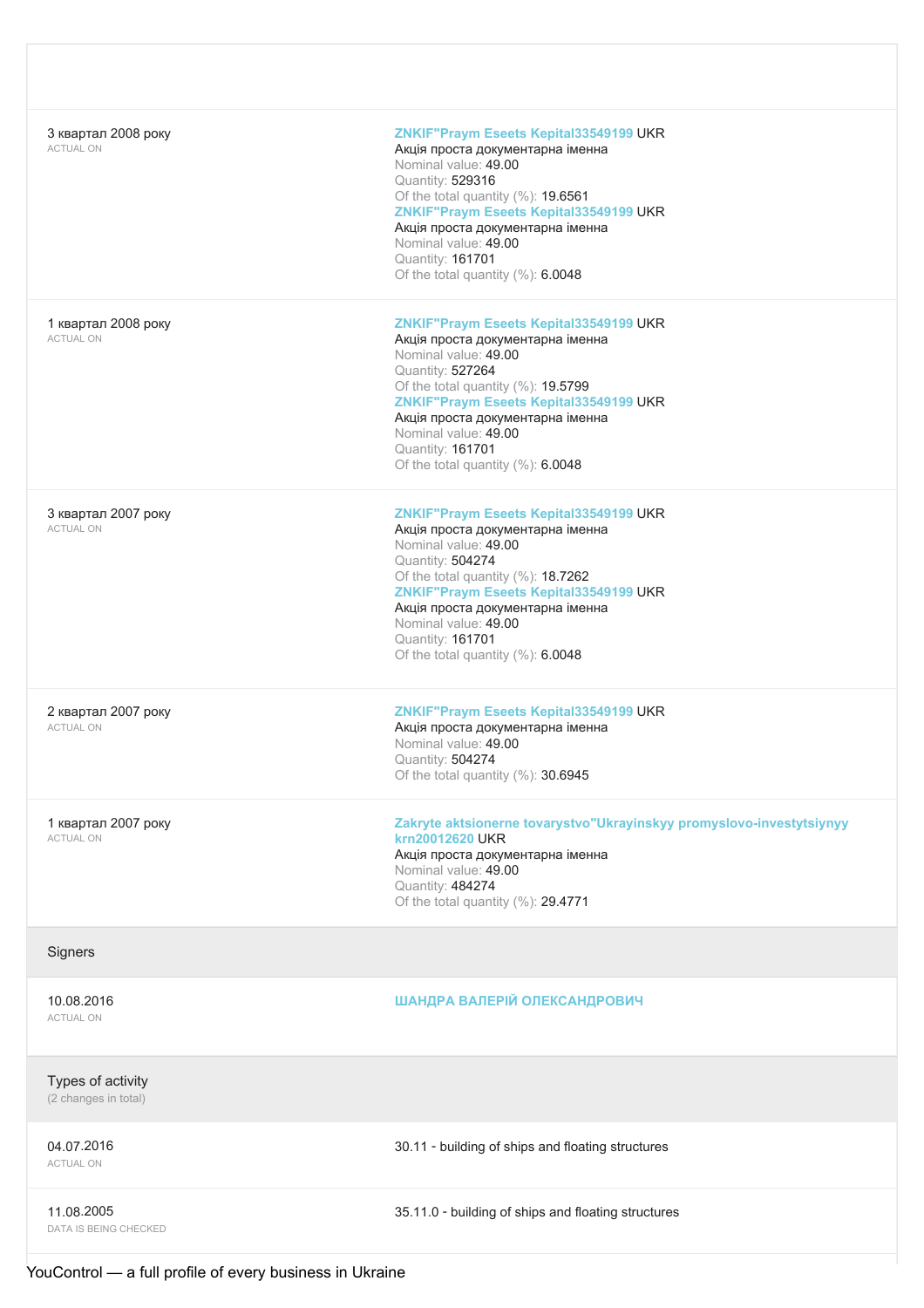| 3 квартал 2008 року<br><b>ACTUAL ON</b>   | ZNKIF"Praym Eseets Kepital33549199 UKR<br>Акція проста документарна іменна<br>Nominal value: 49.00<br>Quantity: 529316<br>Of the total quantity (%): 19.6561<br>ZNKIF"Praym Eseets Kepital33549199 UKR<br>Акція проста документарна іменна<br>Nominal value: 49.00<br>Quantity: 161701<br>Of the total quantity (%): 6.0048    |
|-------------------------------------------|--------------------------------------------------------------------------------------------------------------------------------------------------------------------------------------------------------------------------------------------------------------------------------------------------------------------------------|
| 1 квартал 2008 року<br><b>ACTUAL ON</b>   | ZNKIF"Praym Eseets Kepital33549199 UKR<br>Акція проста документарна іменна<br>Nominal value: 49.00<br>Quantity: 527264<br>Of the total quantity (%): 19.5799<br>ZNKIF"Praym Eseets Kepital33549199 UKR<br>Акція проста документарна іменна<br>Nominal value: 49.00<br>Quantity: 161701<br>Of the total quantity $(\%): 6.0048$ |
| 3 квартал 2007 року<br><b>ACTUAL ON</b>   | ZNKIF"Praym Eseets Kepital33549199 UKR<br>Акція проста документарна іменна<br>Nominal value: 49.00<br>Quantity: 504274<br>Of the total quantity (%): 18.7262<br>ZNKIF"Praym Eseets Kepital33549199 UKR<br>Акція проста документарна іменна<br>Nominal value: 49.00<br>Quantity: 161701<br>Of the total quantity (%): 6.0048    |
| 2 квартал 2007 року<br><b>ACTUAL ON</b>   | ZNKIF"Praym Eseets Kepital33549199 UKR<br>Акція проста документарна іменна<br>Nominal value: 49.00<br>Quantity: 504274<br>Of the total quantity (%): 30.6945                                                                                                                                                                   |
| 1 квартал 2007 року<br><b>ACTUAL ON</b>   | Zakryte aktsionerne tovarystvo"Ukrayinskyy promyslovo-investytsiynyy<br>krn20012620 UKR<br>Акція проста документарна іменна<br>Nominal value: 49.00<br>Quantity: 484274<br>Of the total quantity (%): 29.4771                                                                                                                  |
| Signers                                   |                                                                                                                                                                                                                                                                                                                                |
| 10.08.2016<br><b>ACTUAL ON</b>            | ШАНДРА ВАЛЕРІЙ ОЛЕКСАНДРОВИЧ                                                                                                                                                                                                                                                                                                   |
| Types of activity<br>(2 changes in total) |                                                                                                                                                                                                                                                                                                                                |
| 04.07.2016<br><b>ACTUAL ON</b>            | 30.11 - building of ships and floating structures                                                                                                                                                                                                                                                                              |
| 11.08.2005<br>DATA IS BEING CHECKED       | 35.11.0 - building of ships and floating structures                                                                                                                                                                                                                                                                            |

YouControl — a full profile of every business in Ukraine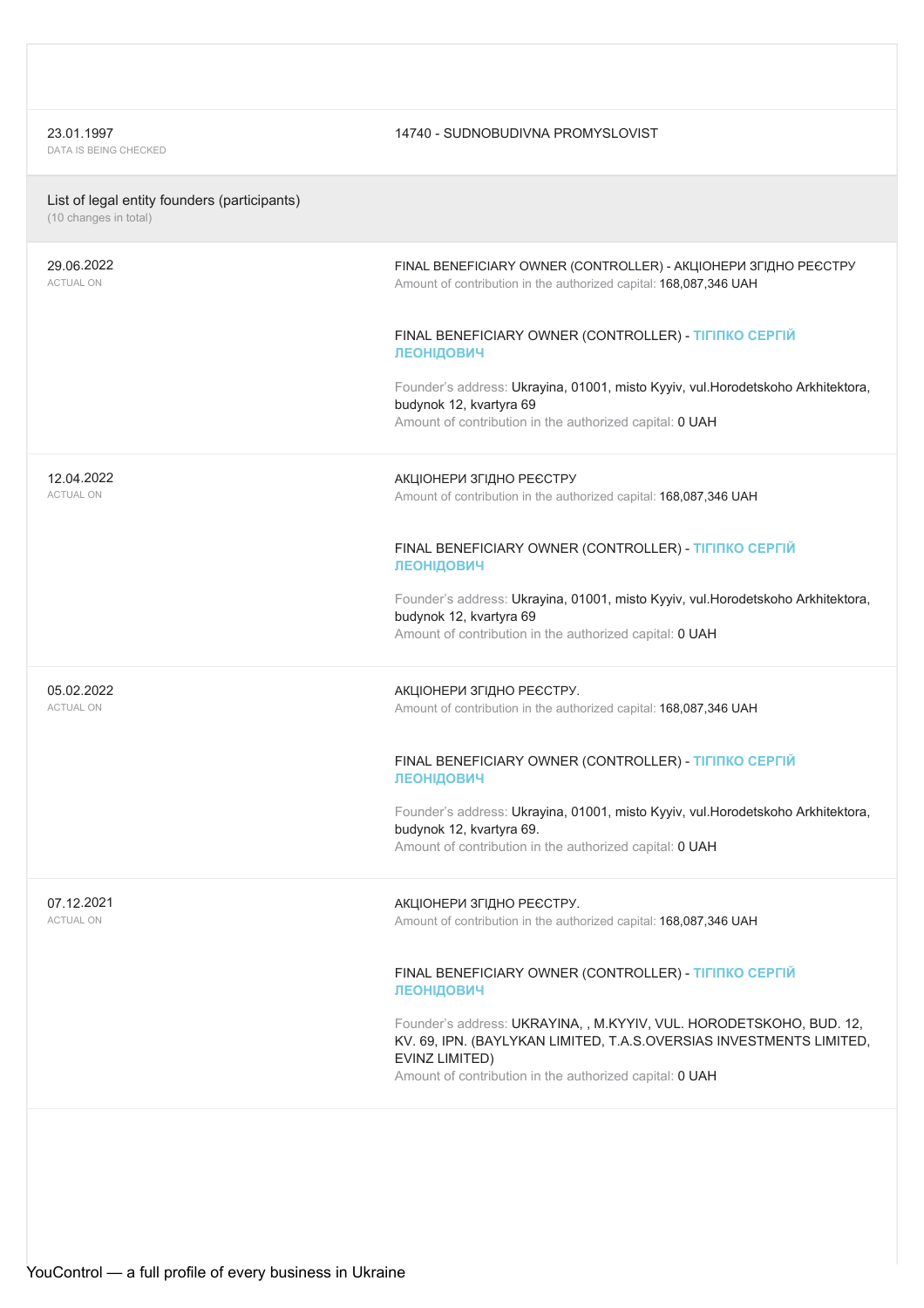23.01.1997<br>DATA IS BEING CHECKED

### 14740 - SUDNOBUDIVNA PROMYSLOVIST

| List of legal entity founders (participants) |  |  |  |
|----------------------------------------------|--|--|--|
|                                              |  |  |  |

(10 changes in total)

| 29.06.2022<br><b>ACTUAL ON</b> | FINAL BENEFICIARY OWNER (CONTROLLER) - АКЦІОНЕРИ ЗГІДНО РЕЄСТРУ<br>Amount of contribution in the authorized capital: 168,087,346 UAH                                                                                    |
|--------------------------------|-------------------------------------------------------------------------------------------------------------------------------------------------------------------------------------------------------------------------|
|                                | FINAL BENEFICIARY OWNER (CONTROLLER) - TIFINKO CEPFIЙ<br>ЛЕОНІДОВИЧ                                                                                                                                                     |
|                                | Founder's address: Ukrayina, 01001, misto Kyyiv, vul.Horodetskoho Arkhitektora,<br>budynok 12, kvartyra 69<br>Amount of contribution in the authorized capital: 0 UAH                                                   |
| 12.04.2022<br><b>ACTUAL ON</b> | АКЦІОНЕРИ ЗГІДНО РЕЄСТРУ<br>Amount of contribution in the authorized capital: 168,087,346 UAH                                                                                                                           |
|                                | FINAL BENEFICIARY OWNER (CONTROLLER) - TIFINKO CEPFIЙ<br>ЛЕОНІДОВИЧ                                                                                                                                                     |
|                                | Founder's address: Ukrayina, 01001, misto Kyyiv, vul.Horodetskoho Arkhitektora,<br>budynok 12, kvartyra 69<br>Amount of contribution in the authorized capital: 0 UAH                                                   |
| 05.02.2022<br><b>ACTUAL ON</b> | АКЦІОНЕРИ ЗГІДНО РЕЄСТРУ.<br>Amount of contribution in the authorized capital: 168,087,346 UAH                                                                                                                          |
|                                | FINAL BENEFICIARY OWNER (CONTROLLER) - TIFINKO CEPFIЙ<br>ЛЕОНІДОВИЧ                                                                                                                                                     |
|                                | Founder's address: Ukrayina, 01001, misto Kyyiv, vul.Horodetskoho Arkhitektora,<br>budynok 12, kvartyra 69.<br>Amount of contribution in the authorized capital: 0 UAH                                                  |
| 07.12.2021<br><b>ACTUAL ON</b> | АКЦІОНЕРИ ЗГІДНО РЕЄСТРУ.<br>Amount of contribution in the authorized capital: 168,087,346 UAH                                                                                                                          |
|                                | FINAL BENEFICIARY OWNER (CONTROLLER) - TIFINKO CEPFIЙ<br>ЛЕОНІДОВИЧ                                                                                                                                                     |
|                                | Founder's address: UKRAYINA, , M.KYYIV, VUL. HORODETSKOHO, BUD. 12,<br>KV. 69, IPN. (BAYLYKAN LIMITED, T.A.S.OVERSIAS INVESTMENTS LIMITED,<br>EVINZ LIMITED)<br>Amount of contribution in the authorized capital: 0 UAH |
|                                |                                                                                                                                                                                                                         |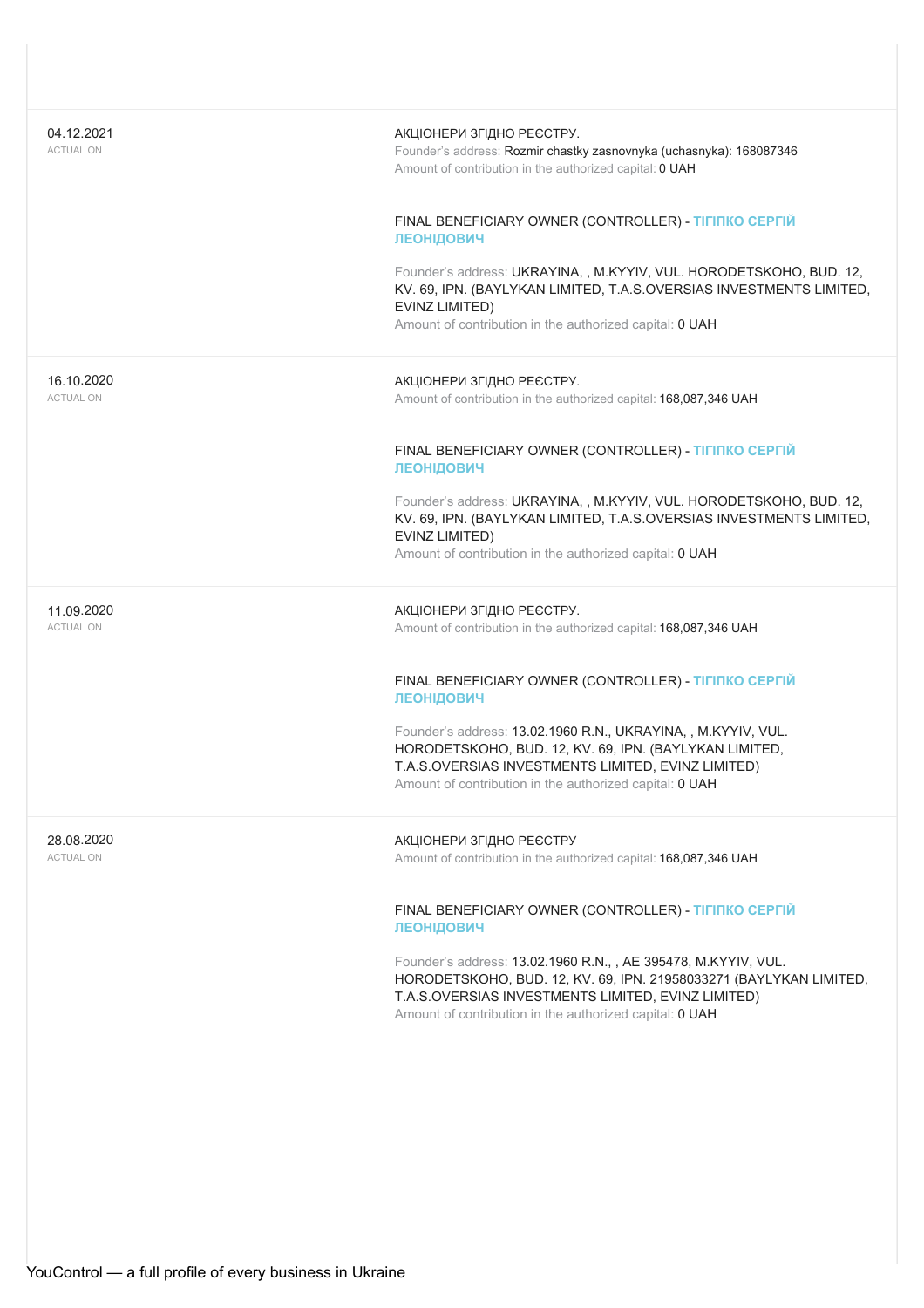| 04.12.2021<br><b>ACTUAL ON</b> | АКЦІОНЕРИ ЗГІДНО РЕЄСТРУ.<br>Founder's address: Rozmir chastky zasnovnyka (uchasnyka): 168087346<br>Amount of contribution in the authorized capital: 0 UAH                                                                                           |
|--------------------------------|-------------------------------------------------------------------------------------------------------------------------------------------------------------------------------------------------------------------------------------------------------|
|                                | FINAL BENEFICIARY OWNER (CONTROLLER) - TIFINKO CEPFIЙ<br><b>ЛЕОНІДОВИЧ</b>                                                                                                                                                                            |
|                                | Founder's address: UKRAYINA,, M.KYYIV, VUL. HORODETSKOHO, BUD. 12,<br>KV. 69, IPN. (BAYLYKAN LIMITED, T.A.S.OVERSIAS INVESTMENTS LIMITED,<br>EVINZ LIMITED)<br>Amount of contribution in the authorized capital: 0 UAH                                |
| 16.10.2020<br><b>ACTUAL ON</b> | АКЦІОНЕРИ ЗГІДНО РЕЄСТРУ.<br>Amount of contribution in the authorized capital: 168,087,346 UAH                                                                                                                                                        |
|                                | FINAL BENEFICIARY OWNER (CONTROLLER) - TIFINKO CEPFIЙ<br>ЛЕОНІДОВИЧ                                                                                                                                                                                   |
|                                | Founder's address: UKRAYINA,, M.KYYIV, VUL. HORODETSKOHO, BUD. 12,<br>KV. 69, IPN. (BAYLYKAN LIMITED, T.A.S.OVERSIAS INVESTMENTS LIMITED,<br>EVINZ LIMITED)<br>Amount of contribution in the authorized capital: 0 UAH                                |
| 11.09.2020<br><b>ACTUAL ON</b> | АКЦІОНЕРИ ЗГІДНО РЕЄСТРУ.<br>Amount of contribution in the authorized capital: 168,087,346 UAH                                                                                                                                                        |
|                                | FINAL BENEFICIARY OWNER (CONTROLLER) - TIFINKO CEPFIЙ<br>ЛЕОНІДОВИЧ                                                                                                                                                                                   |
|                                | Founder's address: 13.02.1960 R.N., UKRAYINA, , M.KYYIV, VUL.<br>HORODETSKOHO, BUD. 12, KV. 69, IPN. (BAYLYKAN LIMITED,<br>T.A.S.OVERSIAS INVESTMENTS LIMITED, EVINZ LIMITED)<br>Amount of contribution in the authorized capital: <b>0 UAH</b>       |
| 28.08.2020<br><b>ACTUAL ON</b> | АКЦІОНЕРИ ЗГІДНО РЕЄСТРУ<br>Amount of contribution in the authorized capital: 168,087,346 UAH                                                                                                                                                         |
|                                | FINAL BENEFICIARY OWNER (CONTROLLER) - TIFINKO CEPFIЙ<br>ЛЕОНІДОВИЧ                                                                                                                                                                                   |
|                                | Founder's address: 13.02.1960 R.N., , AE 395478, M.KYYIV, VUL.<br>HORODETSKOHO, BUD. 12, KV. 69, IPN. 21958033271 (BAYLYKAN LIMITED,<br>T.A.S.OVERSIAS INVESTMENTS LIMITED, EVINZ LIMITED)<br>Amount of contribution in the authorized capital: 0 UAH |
|                                |                                                                                                                                                                                                                                                       |
|                                |                                                                                                                                                                                                                                                       |
|                                |                                                                                                                                                                                                                                                       |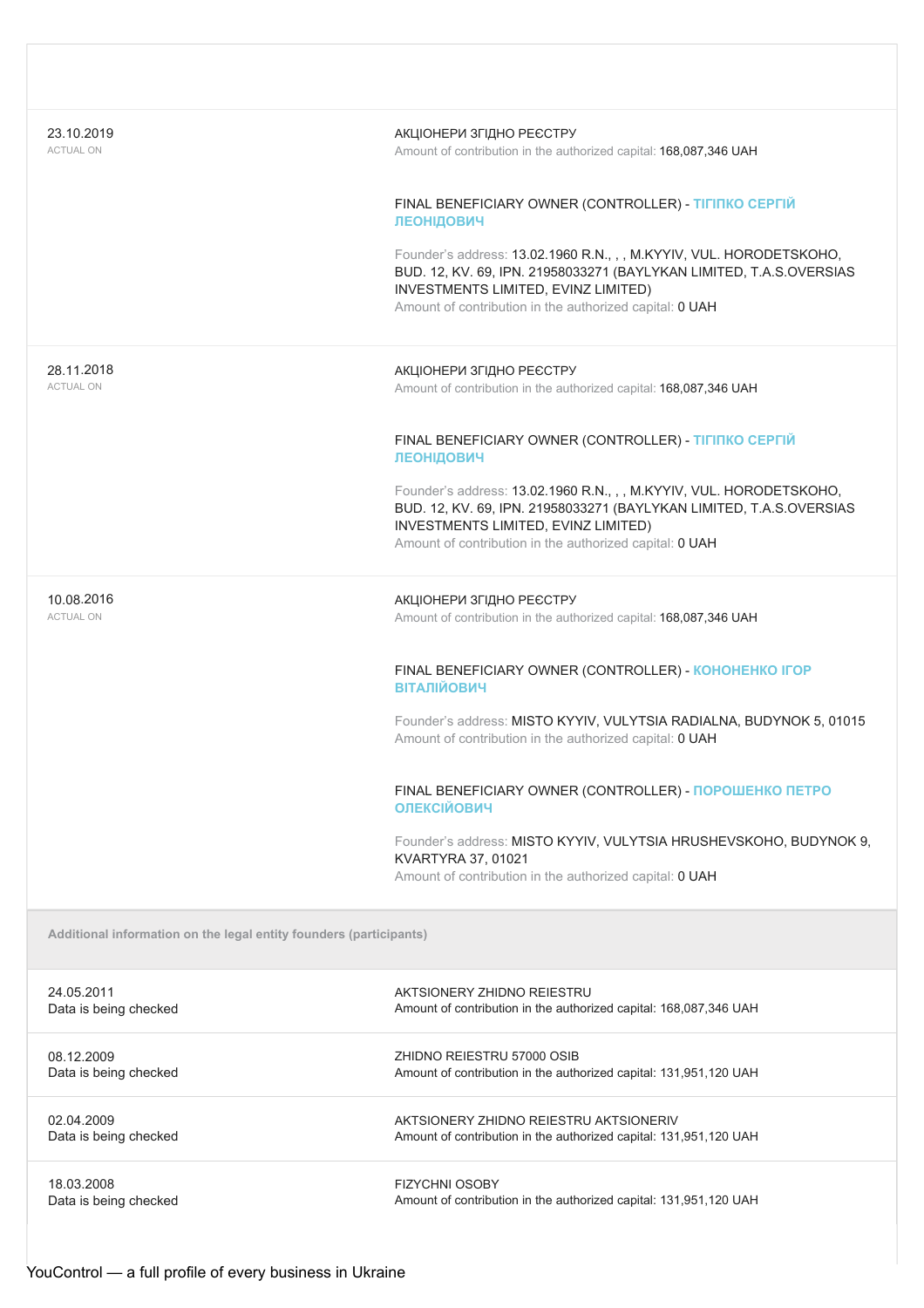| 23.10.2019<br><b>ACTUAL ON</b>                                     | АКЦІОНЕРИ ЗГІДНО РЕЄСТРУ<br>Amount of contribution in the authorized capital: 168,087,346 UAH                                                                                                                                                |
|--------------------------------------------------------------------|----------------------------------------------------------------------------------------------------------------------------------------------------------------------------------------------------------------------------------------------|
|                                                                    | FINAL BENEFICIARY OWNER (CONTROLLER) - TIFINKO CEPFIЙ<br><b>ЛЕОНІДОВИЧ</b>                                                                                                                                                                   |
|                                                                    | Founder's address: 13.02.1960 R.N., , , M.KYYIV, VUL. HORODETSKOHO,<br>BUD. 12, KV. 69, IPN. 21958033271 (BAYLYKAN LIMITED, T.A.S.OVERSIAS<br>INVESTMENTS LIMITED, EVINZ LIMITED)<br>Amount of contribution in the authorized capital: 0 UAH |
| 28.11.2018<br><b>ACTUAL ON</b>                                     | АКЦІОНЕРИ ЗГІДНО РЕЄСТРУ<br>Amount of contribution in the authorized capital: 168,087,346 UAH                                                                                                                                                |
|                                                                    | FINAL BENEFICIARY OWNER (CONTROLLER) - TIFINKO CEPFIЙ<br><b>ЛЕОНІДОВИЧ</b>                                                                                                                                                                   |
|                                                                    | Founder's address: 13.02.1960 R.N., , , M.KYYIV, VUL. HORODETSKOHO,<br>BUD. 12, KV. 69, IPN. 21958033271 (BAYLYKAN LIMITED, T.A.S.OVERSIAS<br>INVESTMENTS LIMITED, EVINZ LIMITED)<br>Amount of contribution in the authorized capital: 0 UAH |
| 10.08.2016<br><b>ACTUAL ON</b>                                     | АКЦІОНЕРИ ЗГІДНО РЕЄСТРУ<br>Amount of contribution in the authorized capital: 168,087,346 UAH                                                                                                                                                |
|                                                                    | FINAL BENEFICIARY OWNER (CONTROLLER) - KOHOHEHKO IFOP<br><b>ВІТАЛІЙОВИЧ</b>                                                                                                                                                                  |
|                                                                    | Founder's address: MISTO KYYIV, VULYTSIA RADIALNA, BUDYNOK 5, 01015<br>Amount of contribution in the authorized capital: 0 UAH                                                                                                               |
|                                                                    | FINAL BENEFICIARY OWNER (CONTROLLER) - ПОРОШЕНКО ПЕТРО<br><b>ОЛЕКСІЙОВИЧ</b>                                                                                                                                                                 |
|                                                                    | Founder's address: MISTO KYYIV, VULYTSIA HRUSHEVSKOHO, BUDYNOK 9,<br>KVARTYRA 37, 01021<br>Amount of contribution in the authorized capital: 0 UAH                                                                                           |
| Additional information on the legal entity founders (participants) |                                                                                                                                                                                                                                              |
| 24.05.2011<br>Data is being checked                                | AKTSIONERY ZHIDNO REIESTRU<br>Amount of contribution in the authorized capital: 168,087,346 UAH                                                                                                                                              |
| 08.12.2009<br>Data is being checked                                | ZHIDNO REIESTRU 57000 OSIB<br>Amount of contribution in the authorized capital: 131,951,120 UAH                                                                                                                                              |
| 02.04.2009<br>Data is being checked                                | AKTSIONERY ZHIDNO REIESTRU AKTSIONERIV<br>Amount of contribution in the authorized capital: 131,951,120 UAH                                                                                                                                  |
| 18.03.2008<br>Data is being checked                                | <b>FIZYCHNI OSOBY</b><br>Amount of contribution in the authorized capital: 131,951,120 UAH                                                                                                                                                   |